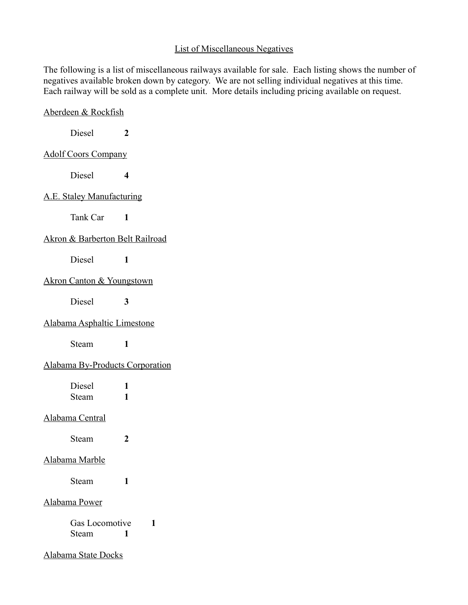# List of Miscellaneous Negatives

The following is a list of miscellaneous railways available for sale. Each listing shows the number of negatives available broken down by category. We are not selling individual negatives at this time. Each railway will be sold as a complete unit. More details including pricing available on request.

| Aberdeen & Rockfish                        |        |
|--------------------------------------------|--------|
| Diesel                                     | 2      |
| <b>Adolf Coors Company</b>                 |        |
| Diesel                                     | 4      |
| A.E. Staley Manufacturing                  |        |
| Tank Car 1                                 |        |
| <b>Akron &amp; Barberton Belt Railroad</b> |        |
| <b>Diesel</b>                              | 1      |
| <b>Akron Canton &amp; Youngstown</b>       |        |
| Diesel                                     | 3      |
| Alabama Asphaltic Limestone                |        |
| Steam                                      | 1      |
| <b>Alabama By-Products Corporation</b>     |        |
| Diesel<br>Steam                            | 1<br>1 |
| Alabama Central                            |        |
| Steam                                      | 2      |
| <u>Alabama Marble</u>                      |        |
| Steam                                      | 1      |
| <u>Alabama Power</u>                       |        |
| Gas Locomotive<br>Steam                    | 1<br>1 |
| <b>Alabama State Docks</b>                 |        |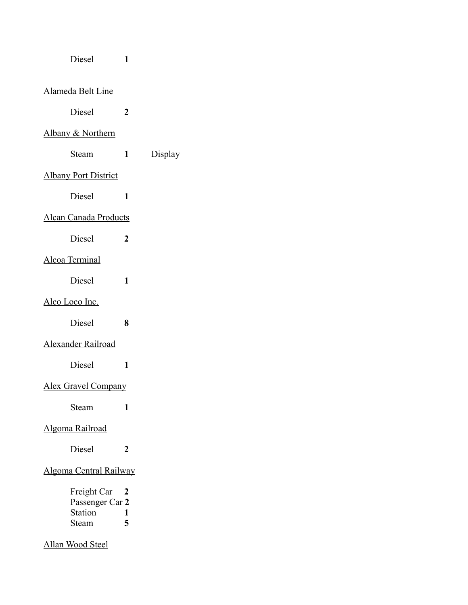| Diesel |
|--------|
|--------|

# Alameda Belt Line

Diesel **2**

# Albany & Northern

Steam **1** Display

Diesel **1**

# Albany Port District

Diesel **1**

### Alcan Canada Products

Diesel **2**

## Alcoa Terminal

Diesel **1**

### Alco Loco Inc.

Diesel **8**

# Alexander Railroad

Diesel **1**

# Alex Gravel Company

Steam **1**

#### Algoma Railroad

Diesel **2**

### Algoma Central Railway

| Freight Car     | 2 |
|-----------------|---|
| Passenger Car 2 |   |
| <b>Station</b>  | ı |
| Steam           | 5 |

# Allan Wood Steel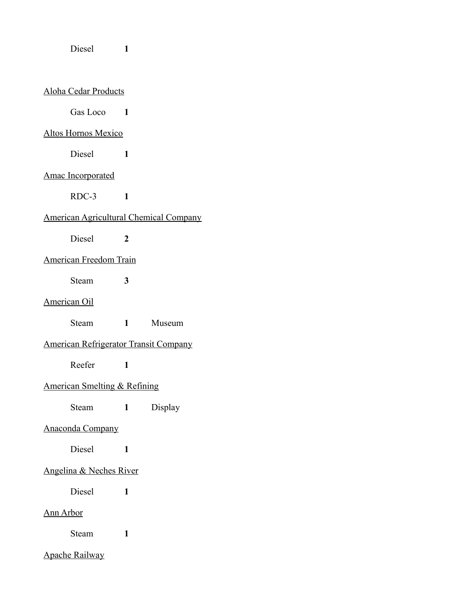Diesel **1**

#### Aloha Cedar Products

Gas Loco<sup>1</sup>

### Altos Hornos Mexico

Diesel **1**

### Amac Incorporated

RDC-3 **1**

### American Agricultural Chemical Company

Diesel **2**

#### American Freedom Train

Steam **3**

### American Oil

Steam **1** Museum

### American Refrigerator Transit Company

Reefer **1**

### American Smelting & Refining

Steam **1** Display

#### Anaconda Company

Diesel **1**

### Angelina & Neches River

Diesel **1**

### Ann Arbor

Steam **1**

### Apache Railway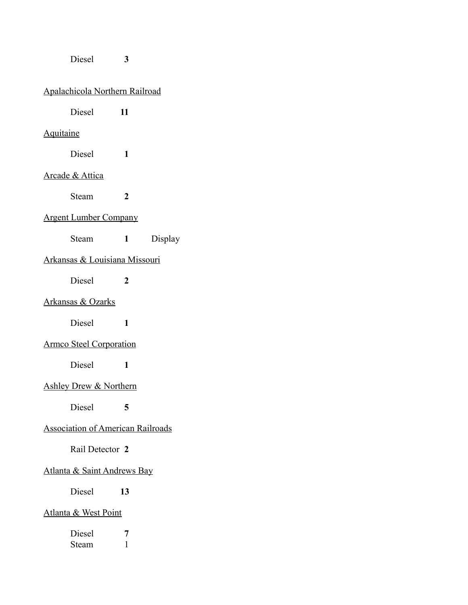## Diesel **3**

# Apalachicola Northern Railroad

Diesel **11**

# **Aquitaine**

Diesel **1**

### Arcade & Attica

Steam **2**

#### Argent Lumber Company

Steam **1** Display

# Arkansas & Louisiana Missouri

Diesel **2**

# Arkansas & Ozarks

Diesel **1**

### Armco Steel Corporation

Diesel **1**

#### Ashley Drew & Northern

Diesel **5**

### Association of American Railroads

#### Rail Detector **2**

#### Atlanta & Saint Andrews Bay

Diesel **13**

#### Atlanta & West Point

| Diesel |  |
|--------|--|
| Steam  |  |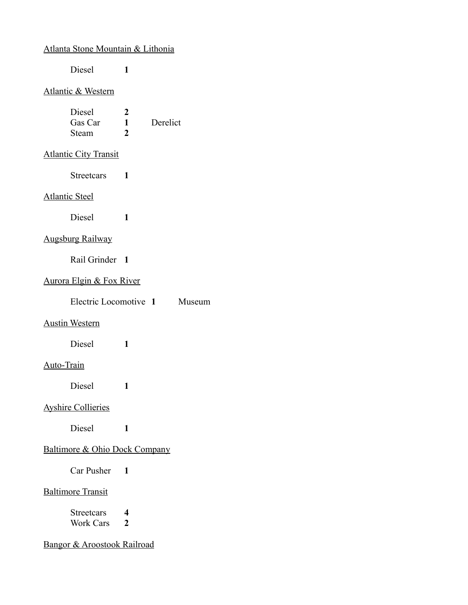### Atlanta Stone Mountain & Lithonia

Diesel **1**

#### Atlantic & Western

| Diesel  |    |          |
|---------|----|----------|
| Gas Car |    | Derelict |
| Steam   | 7. |          |

#### **Atlantic City Transit**

Streetcars **1**

#### Atlantic Steel

Diesel **1**

# Augsburg Railway

Rail Grinder **1**

### Aurora Elgin & Fox River

| Electric Locomotive 1 |  | Museum |
|-----------------------|--|--------|
|-----------------------|--|--------|

#### Austin Western

Diesel **1**

#### Auto-Train

Diesel **1**

### Ayshire Collieries

Diesel **1**

# Baltimore & Ohio Dock Company

Car Pusher **1**

# Baltimore Transit

| Streetcars | 4 |
|------------|---|
| Work Cars  |   |

# Bangor & Aroostook Railroad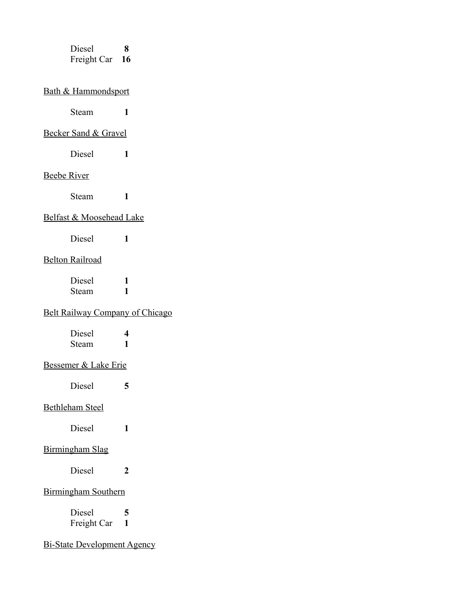Diesel **8** Freight Car **16**

# Bath & Hammondsport

Steam **1**

#### Becker Sand & Gravel

Diesel **1**

#### Beebe River

Steam **1**

#### Belfast & Moosehead Lake

Diesel **1**

### Belton Railroad

Diesel **1** Steam **1**

### Belt Railway Company of Chicago

| Diesel | 4 |
|--------|---|
| Steam  |   |

#### Bessemer & Lake Erie

Diesel **5**

#### Bethleham Steel

Diesel **1**

### Birmingham Slag

Diesel **2**

# Birmingham Southern

Diesel **5** Freight Car **1**

# Bi-State Development Agency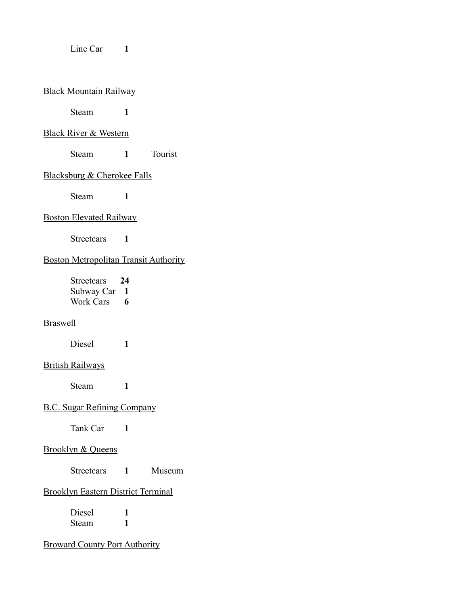#### Line Car 1

#### Black Mountain Railway

Steam **1**

#### Black River & Western

Steam **1** Tourist

#### Blacksburg & Cherokee Falls

Steam **1**

#### Boston Elevated Railway

Streetcars **1**

### Boston Metropolitan Transit Authority

Streetcars **24** Subway Car **1** Work Cars **6**

### **Braswell**

Diesel **1**

#### British Railways

Steam **1**

### B.C. Sugar Refining Company

Tank Car **1**

# Brooklyn & Queens

Streetcars **1** Museum

# Brooklyn Eastern District Terminal

Diesel **1** Steam **1**

Broward County Port Authority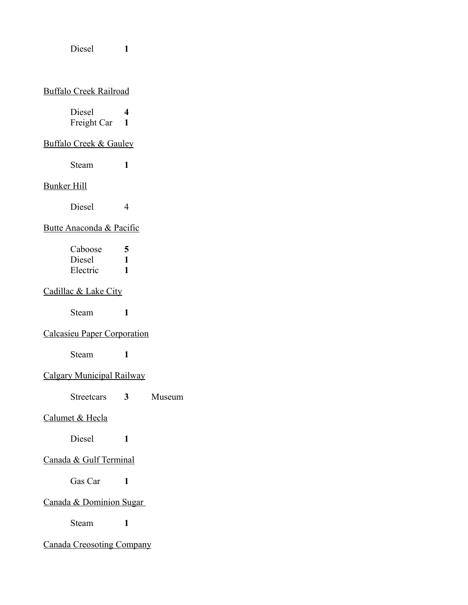Diesel **1**

#### Buffalo Creek Railroad

| Diesel      | 4 |
|-------------|---|
| Freight Car | 1 |

#### Buffalo Creek & Gauley

Steam **1**

#### Bunker Hill

Diesel 4

# Butte Anaconda & Pacific

| Caboose  | 5 |
|----------|---|
| Diesel   | ı |
| Electric | ı |

# Cadillac & Lake City

Steam **1**

# Calcasieu Paper Corporation

Steam **1**

# Calgary Municipal Railway

Streetcars **3** Museum

### Calumet & Hecla

Diesel **1**

# Canada & Gulf Terminal

Gas Car 1

# Canada & Dominion Sugar

Steam **1**

# Canada Creosoting Company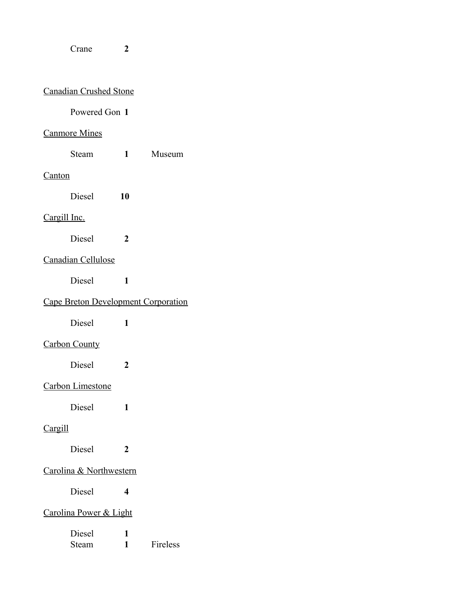#### Crane **2**

# Canadian Crushed Stone

# Powered Gon **1**

#### Canmore Mines

Steam **1** Museum

#### **Canton**

Diesel **10**

#### Cargill Inc.

Diesel **2**

### Canadian Cellulose

Diesel **1**

# Cape Breton Development Corporation

Diesel **1**

# Carbon County

Diesel **2**

#### Carbon Limestone

Diesel **1**

### Cargill

Diesel **2**

#### Carolina & Northwestern

Diesel **4**

### Carolina Power & Light

| Diesel |          |
|--------|----------|
| Steam  | Fireless |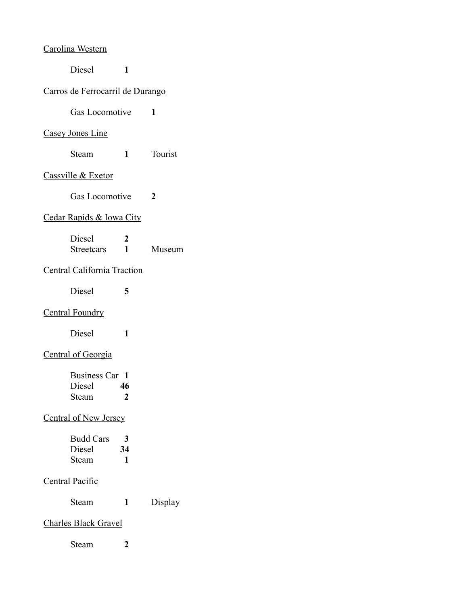#### Carolina Western

Diesel **1**

# Carros de Ferrocarril de Durango

Gas Locomotive **1**

#### Casey Jones Line

Steam **1** Tourist

## Cassville & Exetor

Gas Locomotive **2**

### Cedar Rapids & Iowa City

| Diesel     |        |
|------------|--------|
| Streetcars | Museum |

# Central California Traction

Diesel **5**

### Central Foundry

Diesel **1**

# Central of Georgia

| Business Car 1 |    |
|----------------|----|
| Diesel         | 46 |
| Steam          | 2  |

### Central of New Jersey

| <b>Budd Cars</b> | 3  |
|------------------|----|
| Diesel           | 34 |
| Steam            | ı  |

# Central Pacific

| Display |
|---------|
|         |

### Charles Black Gravel

Steam **2**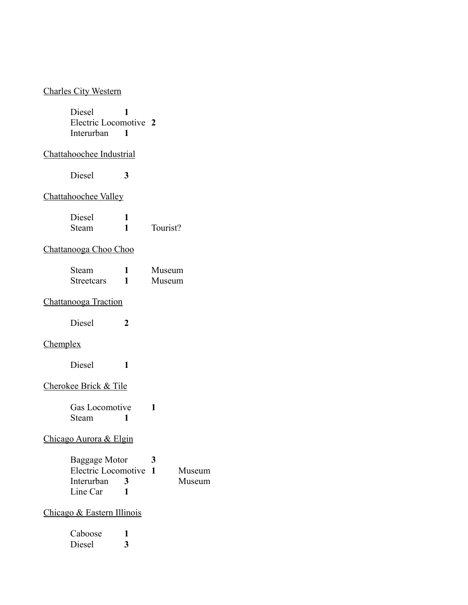#### Charles City Western

Diesel **1** Electric Locomotive **2** Interurban **1**

#### Chattahoochee Industrial

Diesel **3**

### Chattahoochee Valley

| Diesel |          |
|--------|----------|
| Steam  | Tourist? |

# Chattanooga Choo Choo

| <b>Steam</b>      | Museum |
|-------------------|--------|
| <b>Streetcars</b> | Museum |

### Chattanooga Traction

Diesel **2**

# **Chemplex**

Diesel **1**

#### Cherokee Brick & Tile

Gas Locomotive **1** Steam **1**

### Chicago Aurora & Elgin

| Baggage Motor         |              | 3 |        |
|-----------------------|--------------|---|--------|
| Electric Locomotive 1 |              |   | Museum |
| Interurban            | $\mathbf{R}$ |   | Museum |
| Line Car              |              |   |        |

#### Chicago & Eastern Illinois

| Caboose |   |
|---------|---|
| Diesel  | 3 |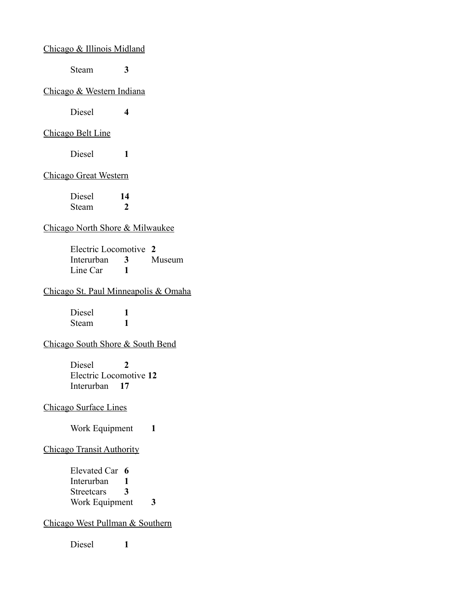Chicago & Illinois Midland

Steam **3**

#### Chicago & Western Indiana

Diesel **4**

#### Chicago Belt Line

Diesel **1**

#### Chicago Great Western

Diesel **14** Steam **2**

#### Chicago North Shore & Milwaukee

Electric Locomotive **2** Interurban **3** Museum Line Car 1

#### Chicago St. Paul Minneapolis & Omaha

Diesel **1** Steam **1**

#### Chicago South Shore & South Bend

Diesel **2** Electric Locomotive **12** Interurban **17**

Chicago Surface Lines

Work Equipment 1

#### Chicago Transit Authority

Elevated Car **6** Interurban **1** Streetcars **3** Work Equipment **3**

# Chicago West Pullman & Southern

Diesel **1**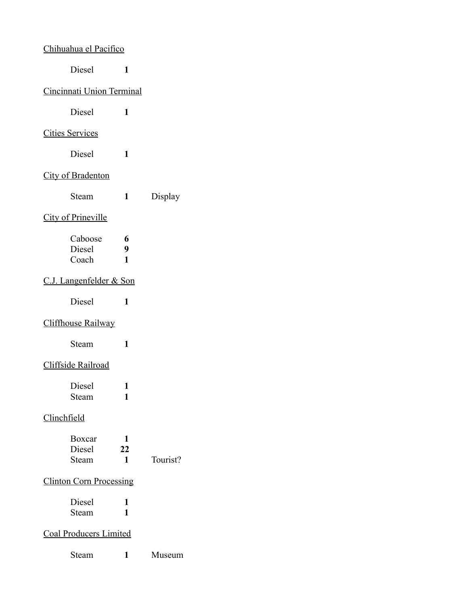# Chihuahua el Pacifico

Diesel **1**

### Cincinnati Union Terminal

Diesel **1**

### Cities Services

Diesel **1**

# City of Bradenton

| <b>Steam</b> |  | Display |
|--------------|--|---------|
|--------------|--|---------|

### City of Prineville

| Caboose | 6 |
|---------|---|
| Diesel  | 9 |
| Coach   |   |

### C.J. Langenfelder & Son

Diesel **1**

# Cliffhouse Railway

Steam **1**

### Cliffside Railroad

| Diesel |  |
|--------|--|
| Steam  |  |

# Clinchfield

| Boxcar        |    |          |
|---------------|----|----------|
| <b>Diesel</b> | 22 |          |
| <b>Steam</b>  |    | Tourist? |

# Clinton Corn Processing

| Diesel |  |
|--------|--|
| Steam  |  |

# Coal Producers Limited

Steam **1** Museum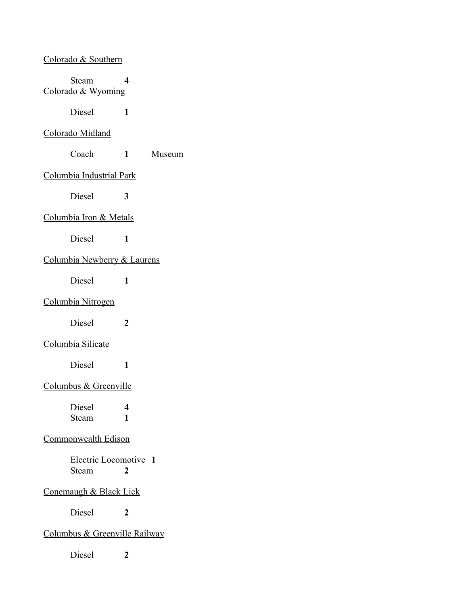#### Colorado & Southern

Steam **4** Colorado & Wyoming

Diesel **1**

### Colorado Midland

Coach **1** Museum

#### Columbia Industrial Park

Diesel **3**

#### Columbia Iron & Metals

Diesel **1**

### Columbia Newberry & Laurens

Diesel **1**

### Columbia Nitrogen

Diesel **2**

#### Columbia Silicate

Diesel **1**

#### Columbus & Greenville

Diesel **4** Steam **1**

#### Commonwealth Edison

Electric Locomotive **1** Steam **2**

# Conemaugh & Black Lick

Diesel **2**

#### Columbus & Greenville Railway

Diesel **2**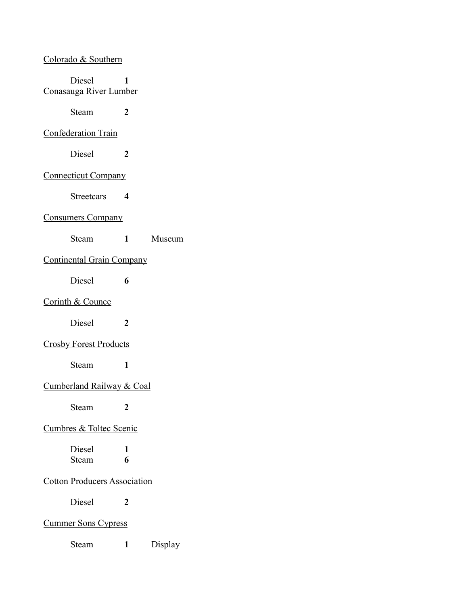# Colorado & Southern

| Diesel<br>Conasauga River Lumber    | 1                      |         |
|-------------------------------------|------------------------|---------|
| Steam                               | 2                      |         |
| <b>Confederation Train</b>          |                        |         |
| Diesel                              | 2                      |         |
| <b>Connecticut Company</b>          |                        |         |
| <b>Streetcars</b>                   | $\boldsymbol{4}$       |         |
| <b>Consumers Company</b>            |                        |         |
| Steam                               | $1 \quad \blacksquare$ | Museum  |
| <b>Continental Grain Company</b>    |                        |         |
| Diesel                              | 6                      |         |
| <b>Corinth &amp; Counce</b>         |                        |         |
| Diesel                              | $\boldsymbol{2}$       |         |
| <b>Crosby Forest Products</b>       |                        |         |
| Steam                               | 1                      |         |
| Cumberland Railway & Coal           |                        |         |
| Steam                               | 2                      |         |
| <b>Cumbres &amp; Toltec Scenic</b>  |                        |         |
| Diesel<br>Steam                     | 1<br>6                 |         |
| <b>Cotton Producers Association</b> |                        |         |
| Diesel                              | 2                      |         |
| <b>Cummer Sons Cypress</b>          |                        |         |
| Steam                               | 1                      | Display |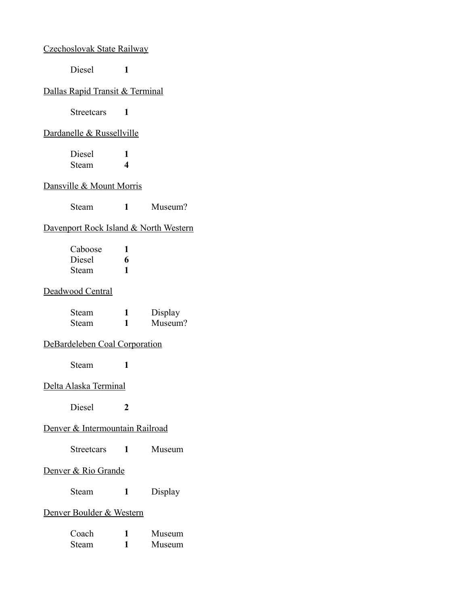### Czechoslovak State Railway

Diesel **1**

# Dallas Rapid Transit & Terminal

Streetcars **1**

#### Dardanelle & Russellville

| Diesel |   |
|--------|---|
| Steam  | 4 |

# Dansville & Mount Morris

Steam **1** Museum?

# Davenport Rock Island & North Western

| Caboose |   |
|---------|---|
| Diesel  | 6 |
| Steam   |   |

### Deadwood Central

| Steam | Display |
|-------|---------|
| Steam | Museum? |

#### DeBardeleben Coal Corporation

Steam **1**

#### Delta Alaska Terminal

Diesel **2**

#### Denver & Intermountain Railroad

#### Denver & Rio Grande

Steam **1** Display

#### Denver Boulder & Western

| Coach | Museum |
|-------|--------|
| Steam | Museum |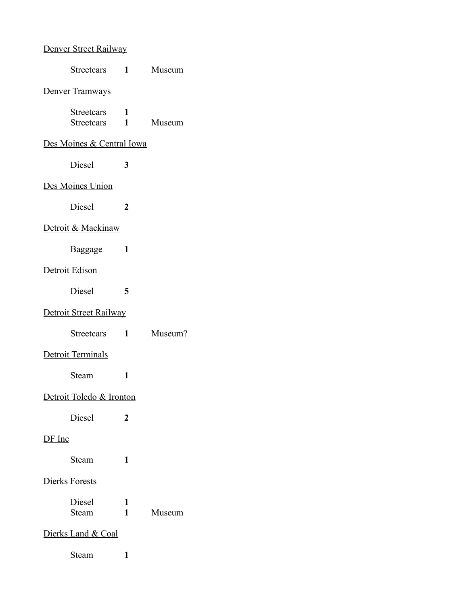# Denver Street Railway

|               | Streetcars                        | $1 \quad \blacksquare$ | Museum  |
|---------------|-----------------------------------|------------------------|---------|
|               | <b>Denver Tramways</b>            |                        |         |
|               | <b>Streetcars</b><br>Streetcars 1 | 1                      | Museum  |
|               | Des Moines & Central Iowa         |                        |         |
|               | <b>Diesel</b>                     | 3                      |         |
|               | Des Moines Union                  |                        |         |
|               | Diesel                            | 2                      |         |
|               | Detroit & Mackinaw                |                        |         |
|               | Baggage                           | 1                      |         |
|               | Detroit Edison                    |                        |         |
|               | Diesel                            | 5                      |         |
|               | Detroit Street Railway            |                        |         |
|               | <b>Streetcars</b>                 | $\mathbf{1}$           | Museum? |
|               | Detroit Terminals                 |                        |         |
|               | Steam                             | 1                      |         |
|               | Detroit Toledo & Ironton          |                        |         |
|               | <b>Diesel</b>                     | 2                      |         |
| <u>DF Inc</u> |                                   |                        |         |
|               | Steam                             | 1                      |         |
|               | <b>Dierks Forests</b>             |                        |         |
|               | Diesel<br>Steam                   | 1<br>1                 | Museum  |
|               | Dierks Land & Coal                |                        |         |
|               | Steam                             | 1                      |         |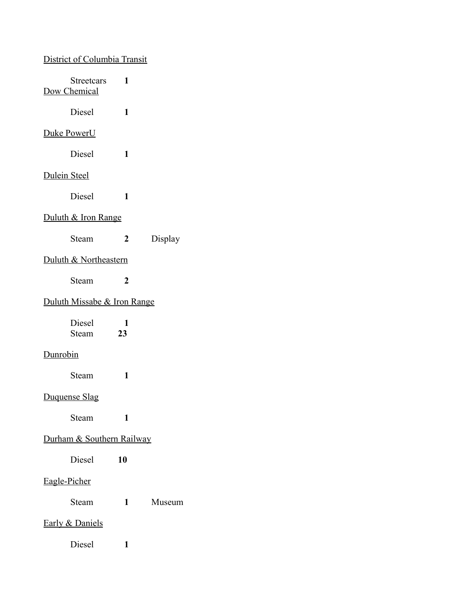# District of Columbia Transit

| Streetcars<br>Dow Chemical  | 1                |         |
|-----------------------------|------------------|---------|
| Diesel                      | 1                |         |
| <b>Duke PowerU</b>          |                  |         |
| Diesel                      | 1                |         |
| <b>Dulein Steel</b>         |                  |         |
| Diesel                      | 1                |         |
| Duluth & Iron Range         |                  |         |
| Steam                       | 2                | Display |
| Duluth & Northeastern       |                  |         |
| Steam                       | $\boldsymbol{2}$ |         |
| Duluth Missabe & Iron Range |                  |         |
| Diesel<br>Steam             | 1<br>23          |         |
| <b>Dunrobin</b>             |                  |         |
| Steam                       | 1                |         |
| Duquense Slag               |                  |         |
| Steam                       | 1                |         |
| Durham & Southern Railway   |                  |         |
| Diesel                      | 10               |         |
| Eagle-Picher                |                  |         |
| Steam                       | 1                | Museum  |
| Early & Daniels             |                  |         |
| Diesel                      | 1                |         |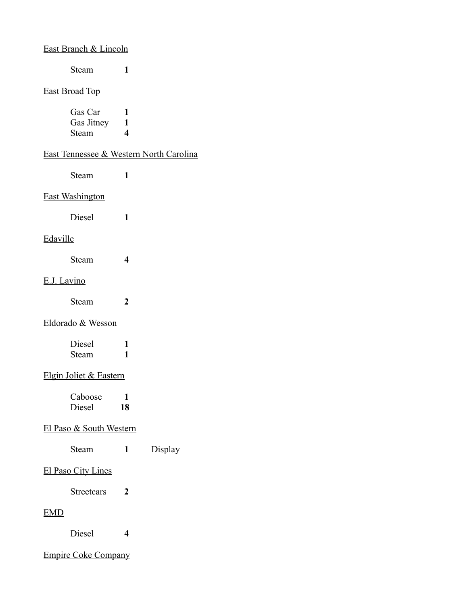# East Branch & Lincoln

Steam **1**

#### East Broad Top

| Gas Car    |    |
|------------|----|
| Gas Jitney | T. |
| Steam      | 4  |

### East Tennessee & Western North Carolina

Steam **1**

#### East Washington

Diesel **1**

### Edaville

Steam **4**

#### E.J. Lavino

| Steam |  |
|-------|--|
|       |  |

### Eldorado & Wesson

| Diesel |  |
|--------|--|
| Steam  |  |

# Elgin Joliet & Eastern

| Caboose |    |
|---------|----|
| Diesel  | 18 |

#### El Paso & South Western

| Display |
|---------|
|         |

#### El Paso City Lines

Streetcars **2**

### EMD

Diesel **4**

### Empire Coke Company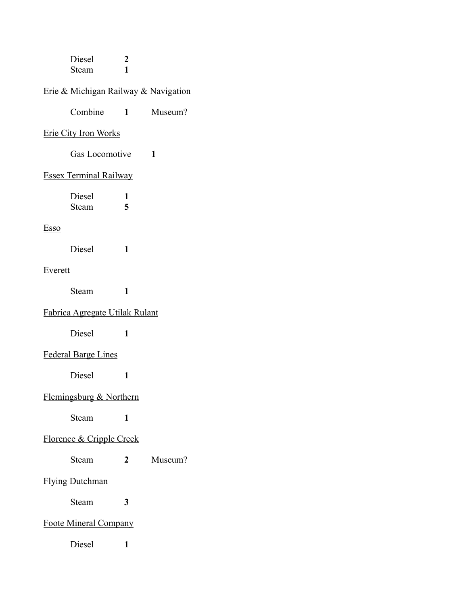| Diesel |  |
|--------|--|
| Steam  |  |

# Erie & Michigan Railway & Navigation

| Combine | Museum? |
|---------|---------|
|---------|---------|

#### Erie City Iron Works

Gas Locomotive **1**

#### Essex Terminal Railway

| Diesel |   |
|--------|---|
| Steam  | 5 |

# Esso

Diesel **1**

# Everett

Steam **1**

# Fabrica Agregate Utilak Rulant

Diesel **1**

## Federal Barge Lines

Diesel **1**

# Flemingsburg & Northern

Steam **1**

# Florence & Cripple Creek

#### Steam **2** Museum?

### Flying Dutchman

Steam **3**

# Foote Mineral Company

Diesel **1**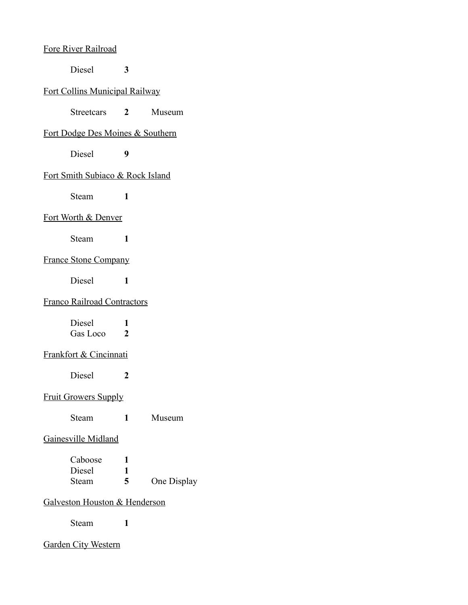#### Fore River Railroad

Diesel **3**

### Fort Collins Municipal Railway

Streetcars **2** Museum

### Fort Dodge Des Moines & Southern

Diesel **9**

#### Fort Smith Subiaco & Rock Island

Steam **1**

#### Fort Worth & Denver

Steam **1**

### France Stone Company

Diesel **1**

# Franco Railroad Contractors

| Diesel   |   |
|----------|---|
| Gas Loco | 2 |

# Frankfort & Cincinnati

Diesel **2**

### Fruit Growers Supply

Steam **1** Museum

#### Gainesville Midland

Caboose **1** Diesel **1** Steam **5** One Display

#### Galveston Houston & Henderson

Steam **1**

#### Garden City Western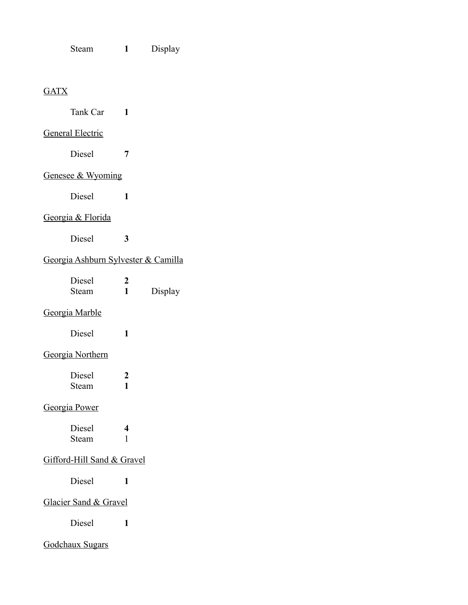Steam **1** Display

# **GATX**

| Tank Car                            | 1                     |         |
|-------------------------------------|-----------------------|---------|
| <b>General Electric</b>             |                       |         |
| <b>Diesel</b>                       | 7                     |         |
| Genesee & Wyoming                   |                       |         |
| Diesel                              | 1                     |         |
| Georgia & Florida                   |                       |         |
| Diesel                              | 3                     |         |
| Georgia Ashburn Sylvester & Camilla |                       |         |
| Diesel<br>Steam                     | 2<br>1                | Display |
| Georgia Marble                      |                       |         |
| Diesel                              | 1                     |         |
| Georgia Northern                    |                       |         |
| Diesel<br>Steam                     | $\boldsymbol{2}$<br>1 |         |
| Georgia Power                       |                       |         |
| Diesel<br>Steam                     | 4<br>1                |         |
| Gifford-Hill Sand & Gravel          |                       |         |
| Diesel                              | 1                     |         |
| Glacier Sand & Gravel               |                       |         |
| Diesel                              | 1                     |         |
| Godchaux Sugars                     |                       |         |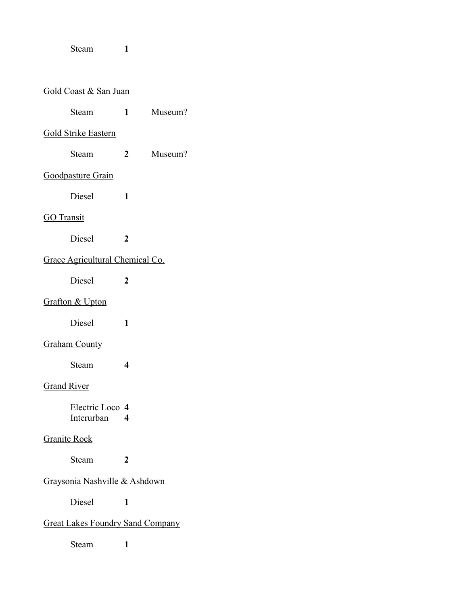Steam **1**

| Gold Coast & San Juan         |                                         |                  |         |
|-------------------------------|-----------------------------------------|------------------|---------|
|                               | Steam                                   | 1                | Museum? |
|                               | <b>Gold Strike Eastern</b>              |                  |         |
|                               | Steam                                   | $\mathbf{2}$     | Museum? |
|                               | Goodpasture Grain                       |                  |         |
|                               | Diesel                                  | 1                |         |
| <b>GO</b> Transit             |                                         |                  |         |
|                               | Diesel                                  | $\boldsymbol{2}$ |         |
|                               | Grace Agricultural Chemical Co.         |                  |         |
|                               | Diesel                                  | 2                |         |
|                               | <b>Grafton &amp; Upton</b>              |                  |         |
|                               | Diesel                                  | 1                |         |
|                               | <b>Graham County</b>                    |                  |         |
|                               | Steam                                   | 4                |         |
| <b>Grand River</b>            |                                         |                  |         |
|                               | Electric Loco 4<br>Interurban           | 4                |         |
| <b>Granite Rock</b>           |                                         |                  |         |
|                               | Steam                                   | 2                |         |
| Graysonia Nashville & Ashdown |                                         |                  |         |
|                               | Diesel                                  | 1                |         |
|                               | <b>Great Lakes Foundry Sand Company</b> |                  |         |
|                               | Steam                                   | 1                |         |
|                               |                                         |                  |         |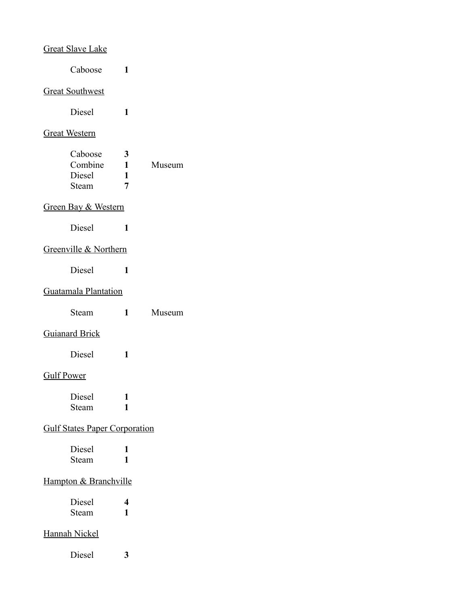| <b>Great Slave Lake</b>               |                                                   |   |
|---------------------------------------|---------------------------------------------------|---|
| Caboose                               | 1                                                 |   |
| <b>Great Southwest</b>                |                                                   |   |
| Diesel                                | 1                                                 |   |
| <b>Great Western</b>                  |                                                   |   |
| Caboose<br>Combine<br>Diesel<br>Steam | $\mathbf{3}$<br>$\mathbf{1}$<br>$\mathbf{1}$<br>7 | N |
| Green Bay & Western                   |                                                   |   |
| Diesel                                | 1                                                 |   |
| Greenville & Northern                 |                                                   |   |
| Diesel                                | 1                                                 |   |
| Guatamala Plantation                  |                                                   |   |
| Steam                                 | 1                                                 | N |
| <b>Guianard Brick</b>                 |                                                   |   |
| Diesel                                | 1                                                 |   |
| <b>Gulf Power</b>                     |                                                   |   |
| Diesel<br>Steam                       | 1<br>1                                            |   |
| <b>Gulf States Paper Corporation</b>  |                                                   |   |
| Diesel<br>Steam                       | 1<br>1                                            |   |
| Hampton & Branchville                 |                                                   |   |
| Diesel<br>Steam                       | 4<br>1                                            |   |
| <b>Hannah Nickel</b>                  |                                                   |   |
| Diesel                                | 3                                                 |   |

**Museum** 

Steam **1** Museum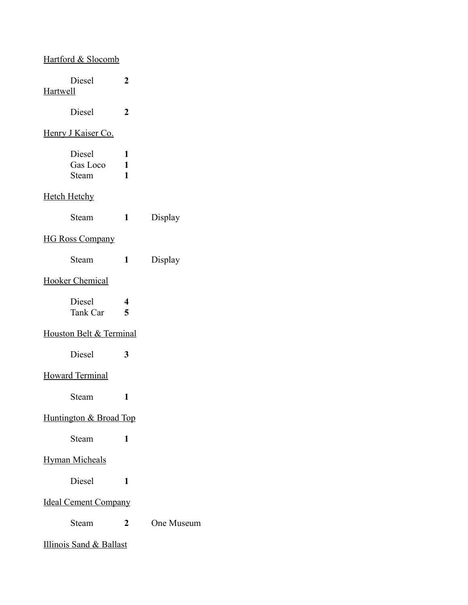| <b>Hartford &amp; Slocomb</b> |                        |            |
|-------------------------------|------------------------|------------|
| Diesel<br><b>Hartwell</b>     | 2                      |            |
| Diesel                        | $\boldsymbol{2}$       |            |
| Henry J Kaiser Co.            |                        |            |
| Diesel<br>Gas Loco<br>Steam   | 1<br>$\mathbf{1}$<br>1 |            |
| <b>Hetch Hetchy</b>           |                        |            |
| Steam                         | $\mathbf{1}$           | Display    |
| <b>HG Ross Company</b>        |                        |            |
| Steam                         | 1                      | Display    |
| <b>Hooker Chemical</b>        |                        |            |
| Diesel<br>Tank Car            | 4<br>$\overline{5}$    |            |
| Houston Belt & Terminal       |                        |            |
| Diesel                        | 3                      |            |
| <b>Howard Terminal</b>        |                        |            |
| Steam                         | 1                      |            |
| Huntington & Broad Top        |                        |            |
| Steam                         | 1                      |            |
| <b>Hyman Micheals</b>         |                        |            |
| Diesel                        | 1                      |            |
| <b>Ideal Cement Company</b>   |                        |            |
| Steam                         | $\mathbf{2}$           | One Museum |
| Illinois Sand & Ballast       |                        |            |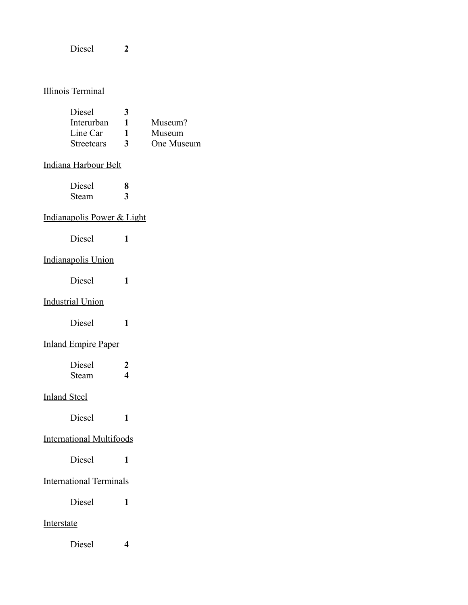Diesel **2**

### Illinois Terminal

| Diesel            | 3            |            |
|-------------------|--------------|------------|
| Interurban        |              | Museum?    |
| Line Car          | 1            | Museum     |
| <b>Streetcars</b> | $\mathbf{3}$ | One Museum |

## Indiana Harbour Belt

| Diesel | Я |
|--------|---|
| Steam  | 3 |

### Indianapolis Power & Light

Diesel **1**

# Indianapolis Union

Diesel **1**

### Industrial Union

Diesel **1**

# Inland Empire Paper

| Diesel |   |
|--------|---|
| Steam  | 4 |

# Inland Steel

Diesel **1**

# International Multifoods

Diesel **1**

# International Terminals

Diesel **1**

## Interstate

Diesel **4**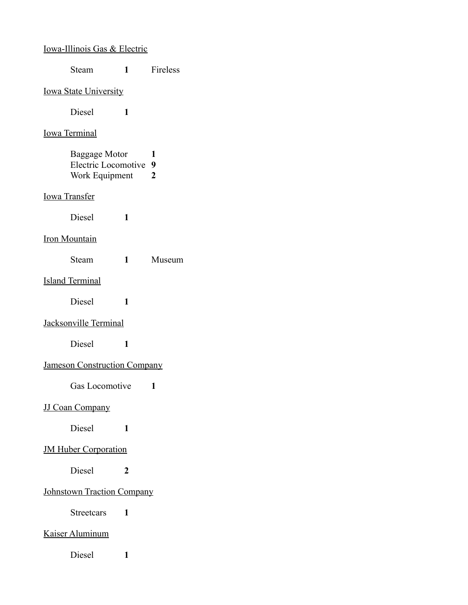| <b>Iowa-Illinois Gas &amp; Electric</b>                  |              |                     |
|----------------------------------------------------------|--------------|---------------------|
| Steam                                                    | $\mathbf{1}$ | Fireless            |
| <b>Iowa State University</b>                             |              |                     |
| Diesel                                                   | 1            |                     |
| <u>Iowa Terminal</u>                                     |              |                     |
| Baggage Motor<br>Electric Locomotive 9<br>Work Equipment |              | 1<br>$\overline{2}$ |
| <b>Iowa Transfer</b>                                     |              |                     |
| <b>Diesel</b>                                            | 1            |                     |
| <b>Iron Mountain</b>                                     |              |                     |
| Steam                                                    | $\mathbf{1}$ | Museum              |
| <b>Island Terminal</b>                                   |              |                     |
| Diesel                                                   | 1            |                     |
| Jacksonville Terminal                                    |              |                     |
| Diesel                                                   | 1            |                     |
| <b>Jameson Construction Company</b>                      |              |                     |
| Gas Locomotive                                           |              | 1                   |
| <b>JJ Coan Company</b>                                   |              |                     |
| Diesel                                                   | 1            |                     |
| <b>JM Huber Corporation</b>                              |              |                     |
| Diesel                                                   | 2            |                     |
| <b>Johnstown Traction Company</b>                        |              |                     |
| <b>Streetcars</b>                                        | 1            |                     |
| Kaiser Aluminum                                          |              |                     |
| Diesel                                                   | 1            |                     |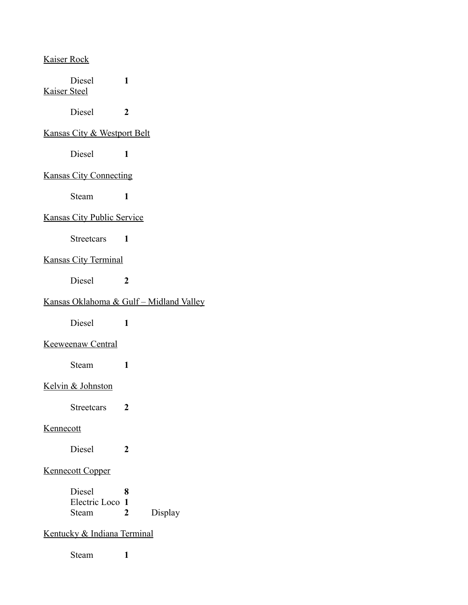| Kaiser Rock |  |
|-------------|--|
|             |  |

| <b>Kaiser Steel</b> | Diesel                                 | 1              |                                                     |
|---------------------|----------------------------------------|----------------|-----------------------------------------------------|
|                     | Diesel                                 | $\overline{2}$ |                                                     |
|                     | <b>Kansas City &amp; Westport Belt</b> |                |                                                     |
|                     | <b>Diesel</b>                          | 1              |                                                     |
|                     | <b>Kansas City Connecting</b>          |                |                                                     |
|                     | <b>Steam</b>                           | 1              |                                                     |
|                     | <b>Kansas City Public Service</b>      |                |                                                     |
|                     | Streetcars<br>$\blacksquare$           |                |                                                     |
|                     | <b>Kansas City Terminal</b>            |                |                                                     |
|                     | Diesel                                 | 2              |                                                     |
|                     |                                        |                | <u> Kansas Oklahoma &amp; Gulf – Midland Valley</u> |
|                     | Diesel                                 | 1              |                                                     |
|                     | <b>Keeweenaw Central</b>               |                |                                                     |
|                     | Steam                                  | 1              |                                                     |
|                     | Kelvin & Johnston                      |                |                                                     |
|                     | Streetcars                             | 2              |                                                     |
| Kennecott           |                                        |                |                                                     |
|                     | Diesel                                 | 2              |                                                     |
|                     | <b>Kennecott Copper</b>                |                |                                                     |
|                     | Diesel                                 | x              |                                                     |
|                     | Electric Loco                          | $\mathbf{1}$   |                                                     |
|                     | Steam                                  | 2              | Display                                             |
|                     | Kentucky & Indiana Terminal            |                |                                                     |
|                     | Steam                                  | 1              |                                                     |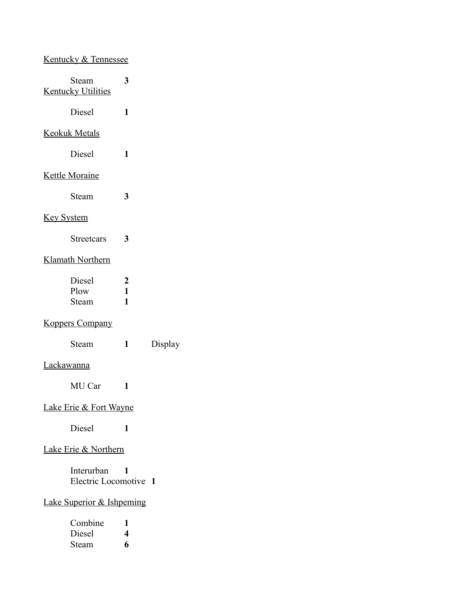# Kentucky & Tennessee

|                                      | Steam<br><b>Kentucky Utilities</b> | 3                      |                |
|--------------------------------------|------------------------------------|------------------------|----------------|
|                                      | Diesel                             | 1                      |                |
|                                      | <b>Keokuk Metals</b>               |                        |                |
|                                      | Diesel                             | 1                      |                |
|                                      | <b>Kettle Moraine</b>              |                        |                |
|                                      | Steam                              | 3                      |                |
| <u>Key System</u>                    |                                    |                        |                |
|                                      | <b>Streetcars</b>                  | 3                      |                |
|                                      | <b>Klamath Northern</b>            |                        |                |
|                                      | Diesel<br>Plow<br>Steam            | 2<br>$\mathbf{1}$<br>1 |                |
|                                      | <b>Koppers Company</b>             |                        |                |
|                                      | Steam                              | $\mathbf{1}$           | Display        |
| Lackawanna                           |                                    |                        |                |
|                                      | MU Car                             | 1                      |                |
|                                      | <b>Lake Erie &amp; Fort Wayne</b>  |                        |                |
|                                      | Diesel                             | 1                      |                |
| Lake Erie & Northern                 |                                    |                        |                |
|                                      | Interurban<br>Electric Locomotive  | 1                      | $\blacksquare$ |
| <b>Lake Superior &amp; Ishpeming</b> |                                    |                        |                |
|                                      | Combine<br>Diesel<br>Steam         | 1<br>4<br>6            |                |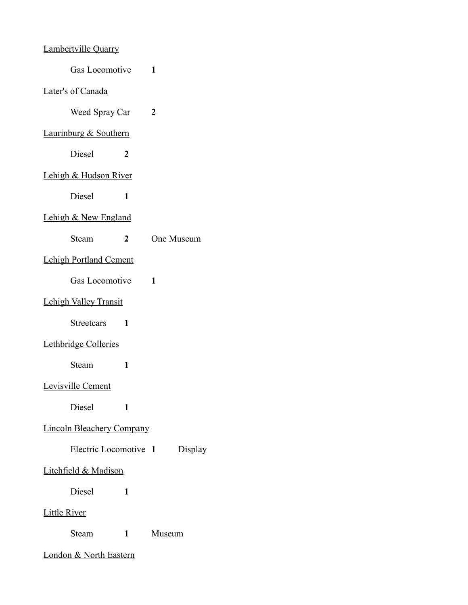# Lambertville Quarry

| Gas Locomotive |  |
|----------------|--|
|----------------|--|

#### Later's of Canada

Weed Spray Car **2**

# Laurinburg & Southern

Diesel **2**

### Lehigh & Hudson River

Diesel **1**

#### Lehigh & New England

# Lehigh Portland Cement

Gas Locomotive **1**

# Lehigh Valley Transit

Streetcars **1**

# Lethbridge Colleries

Steam **1**

#### Levisville Cement

Diesel **1**

#### Lincoln Bleachery Company

| Electric Locomotive 1 |  | Display |
|-----------------------|--|---------|
|-----------------------|--|---------|

#### Litchfield & Madison

Diesel **1**

#### Little River

Steam **1** Museum

#### London & North Eastern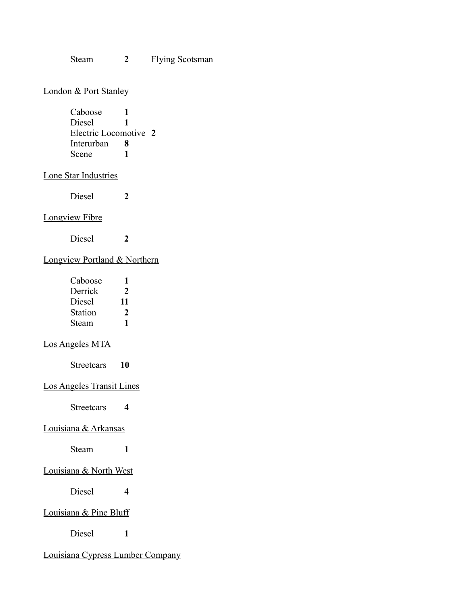Steam **2** Flying Scotsman

### London & Port Stanley

| Caboose               |   |  |
|-----------------------|---|--|
| Diesel                |   |  |
| Electric Locomotive 2 |   |  |
| Interurban            | x |  |
| Scene                 |   |  |

### Lone Star Industries

Diesel **2**

#### Longview Fibre

Diesel **2**

# Longview Portland & Northern

| Caboose        |    |
|----------------|----|
| Derrick        | 2  |
| Diesel         | 11 |
| <b>Station</b> | 2  |
| Steam          | 1  |

#### Los Angeles MTA

Streetcars **10**

#### Los Angeles Transit Lines

Streetcars **4**

### Louisiana & Arkansas

Steam **1**

### Louisiana & North West

Diesel **4**

#### Louisiana & Pine Bluff

Diesel **1**

# Louisiana Cypress Lumber Company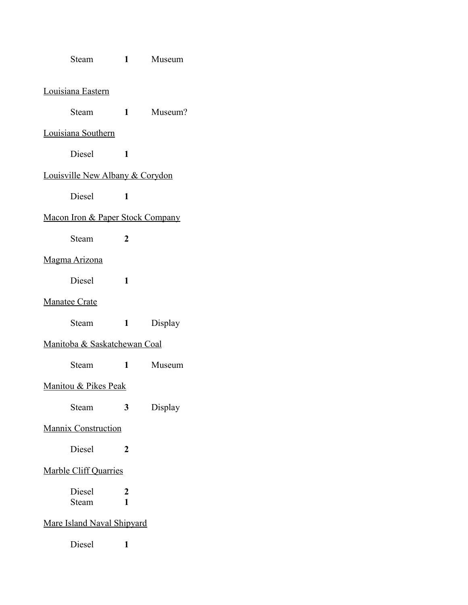| Steam                            | $1 \quad \blacksquare$       | Museum    |  |
|----------------------------------|------------------------------|-----------|--|
| Louisiana Eastern                |                              |           |  |
| Steam                            |                              | 1 Museum? |  |
| Louisiana Southern               |                              |           |  |
| <b>Diesel</b>                    | 1                            |           |  |
| Louisville New Albany & Corydon  |                              |           |  |
| Diesel                           | 1                            |           |  |
| Macon Iron & Paper Stock Company |                              |           |  |
| Steam                            | $\mathbf{2}$                 |           |  |
| Magma Arizona                    |                              |           |  |
| Diesel                           | 1                            |           |  |
| <b>Manatee Crate</b>             |                              |           |  |
| Steam                            | $1 \quad \blacksquare$       | Display   |  |
| Manitoba & Saskatchewan Coal     |                              |           |  |
| Steam                            | 1                            | Museum    |  |
| Manitou & Pikes Peak             |                              |           |  |
| Steam                            | 3                            | Display   |  |
| Mannix Construction              |                              |           |  |
| Diesel                           | 2                            |           |  |
|                                  | <b>Marble Cliff Quarries</b> |           |  |
| Diesel<br>Steam                  | 2<br>1                       |           |  |
| Mare Island Naval Shipyard       |                              |           |  |

Diesel **1**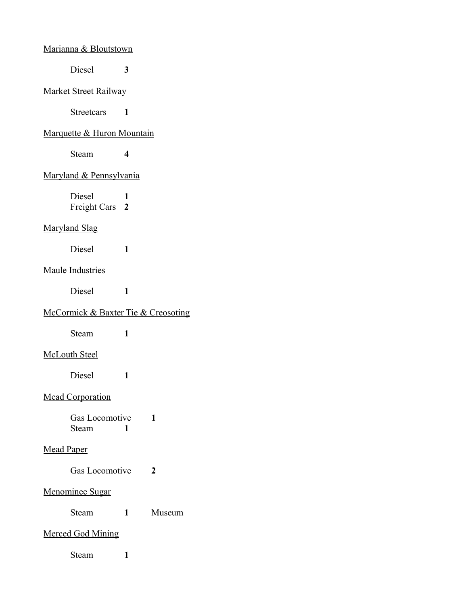#### Marianna & Bloutstown

Diesel **3**

#### Market Street Railway

Streetcars **1**

# Marquette & Huron Mountain

Steam **4**

### Maryland & Pennsylvania

Diesel **1** Freight Cars **2**

#### Maryland Slag

Diesel **1**

#### Maule Industries

Diesel **1**

# McCormick & Baxter Tie & Creosoting

Steam **1**

# McLouth Steel

Diesel **1**

### Mead Corporation

Gas Locomotive **1** Steam **1**

# Mead Paper

Gas Locomotive **2**

### Menominee Sugar

Steam **1** Museum

### Merced God Mining

Steam **1**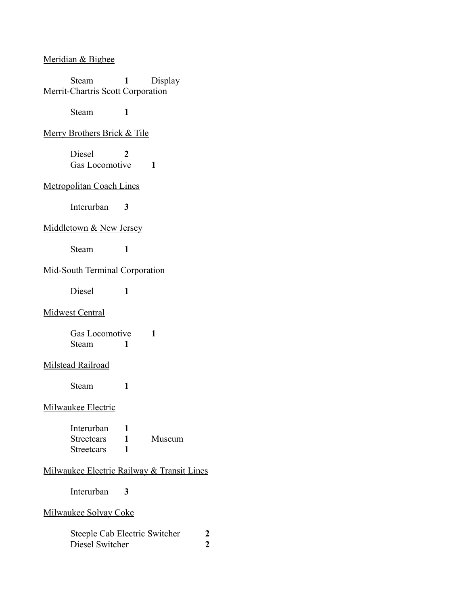#### Meridian & Bigbee

Steam **1** Display Merrit-Chartris Scott Corporation

Steam **1**

#### Merry Brothers Brick & Tile

Diesel **2** Gas Locomotive **1**

#### Metropolitan Coach Lines

Interurban **3**

### Middletown & New Jersey

Steam **1**

### Mid-South Terminal Corporation

Diesel **1**

#### Midwest Central

Gas Locomotive **1** Steam **1**

#### Milstead Railroad

Steam **1**

### Milwaukee Electric

| Interurban |        |
|------------|--------|
| Streetcars | Museum |
| Streetcars |        |

#### Milwaukee Electric Railway & Transit Lines

Interurban **3**

#### Milwaukee Solvay Coke

Steeple Cab Electric Switcher 2<br>Diesel Switcher 2 Diesel Switcher **2**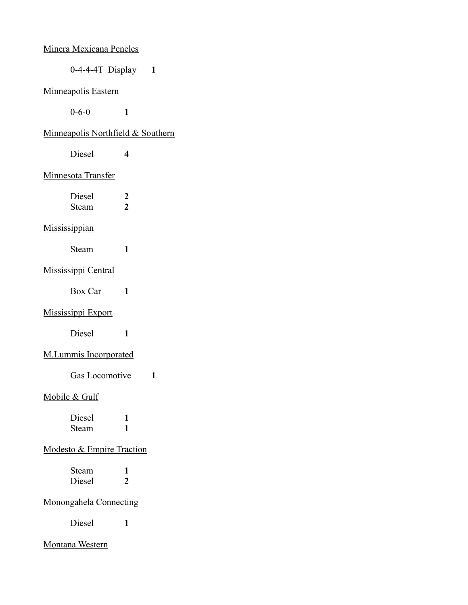| <b>Minera Mexicana Peneles</b>       |                                    |
|--------------------------------------|------------------------------------|
|                                      | $0-4-4-4T$ Display 1               |
| <b>Minneapolis Eastern</b>           |                                    |
| $0 - 6 - 0$                          | 1                                  |
|                                      | Minneapolis Northfield & Southern  |
| Diesel                               | 4                                  |
| Minnesota Transfer                   |                                    |
| Diesel<br>Steam                      | $\boldsymbol{2}$<br>$\overline{2}$ |
| Mississippian                        |                                    |
| Steam                                | 1                                  |
| <b>Mississippi Central</b>           |                                    |
| Box Car                              | 1                                  |
| <b>Mississippi Export</b>            |                                    |
| Diesel                               | 1                                  |
| <b>M.Lummis Incorporated</b>         |                                    |
| Gas Locomotive                       | 1                                  |
| Mobile & Gulf                        |                                    |
| Diesel<br>Steam                      | 1<br>1                             |
| <b>Modesto &amp; Empire Traction</b> |                                    |
| Steam<br><b>Diesel</b>               | 1<br>$\overline{2}$                |
| <b>Monongahela Connecting</b>        |                                    |
| Diesel                               | 1                                  |

# Montana Western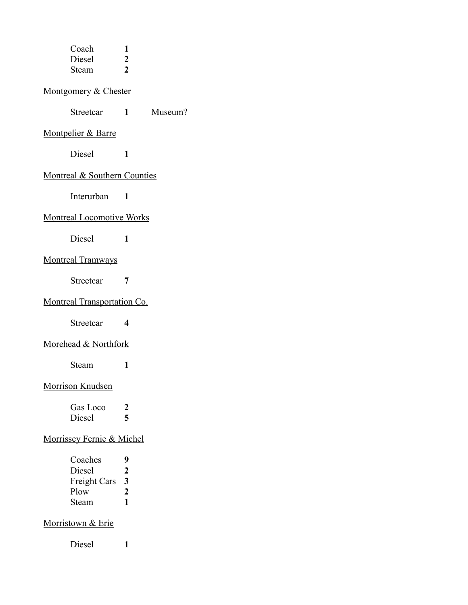| Coach<br>Diesel                    | 1                                  |         |
|------------------------------------|------------------------------------|---------|
| Steam                              | $\boldsymbol{2}$<br>$\overline{2}$ |         |
| Montgomery & Chester               |                                    |         |
| Streetcar                          | $1 \quad \blacksquare$             | Museum? |
| <b>Montpelier &amp; Barre</b>      |                                    |         |
| Diesel                             | 1                                  |         |
| Montreal & Southern Counties       |                                    |         |
| Interurban                         | $\mathbf{1}$                       |         |
| <b>Montreal Locomotive Works</b>   |                                    |         |
| Diesel                             | 1                                  |         |
| <b>Montreal Tramways</b>           |                                    |         |
| Streetcar                          | 7                                  |         |
| <b>Montreal Transportation Co.</b> |                                    |         |
| Streetcar                          | 4                                  |         |
| Morehead & Northfork               |                                    |         |
| Steam                              | 1                                  |         |
| Morrison Knudsen                   |                                    |         |
| Gas Loco                           | 2                                  |         |
| Diesel                             | 5                                  |         |
| Morrissey Fernie & Michel          |                                    |         |
| Coaches                            | 9                                  |         |
| Diesel<br><b>Freight Cars</b>      | $\frac{2}{3}$                      |         |
| Plow                               | $\overline{\mathbf{c}}$            |         |
| Steam                              | $\mathbf{1}$                       |         |
| <b>Morristown &amp; Erie</b>       |                                    |         |
| Diesel                             | 1                                  |         |
|                                    |                                    |         |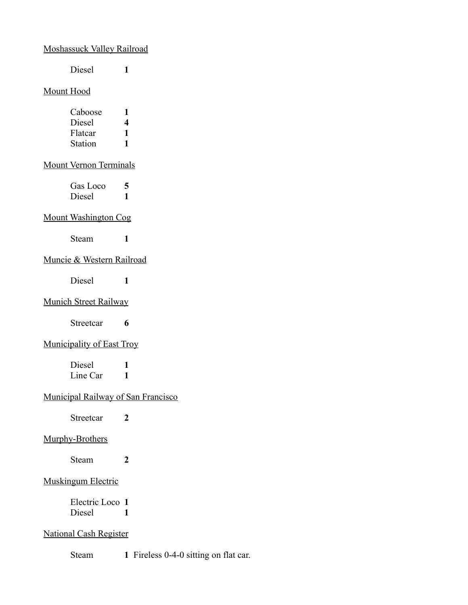# Moshassuck Valley Railroad

Diesel **1**

# Mount Hood

| ı |
|---|
| 4 |
| ı |
| ı |
|   |

# Mount Vernon Terminals

| Gas Loco | 5 |
|----------|---|
| Diesel   |   |

#### Mount Washington Cog

Steam **1**

# Muncie & Western Railroad

Diesel **1**

# Munich Street Railway

Streetcar **6**

### Municipality of East Troy

Diesel **1** Line Car 1

# Municipal Railway of San Francisco

Streetcar **2**

### Murphy-Brothers

Steam **2**

# Muskingum Electric

Electric Loco **1** Diesel **1**

### National Cash Register

Steam **1** Fireless 0-4-0 sitting on flat car.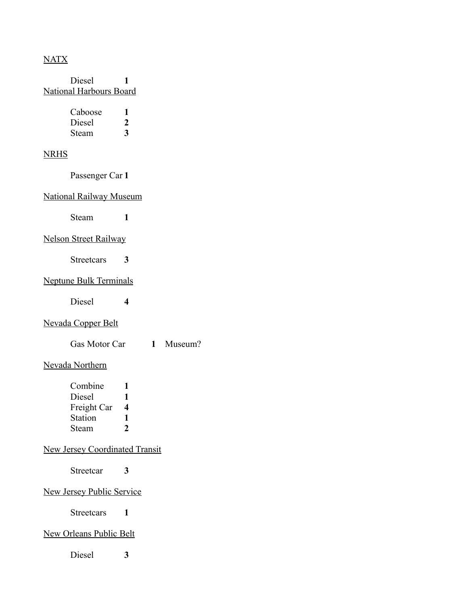### NATX

Diesel **1** National Harbours Board

| Caboose |   |
|---------|---|
| Diesel  | 2 |
| Steam   | 3 |

### NRHS

Passenger Car **1**

#### National Railway Museum

Steam **1**

### Nelson Street Railway

Streetcars **3**

#### Neptune Bulk Terminals

Diesel **4**

#### Nevada Copper Belt

Gas Motor Car **1** Museum?

#### Nevada Northern

| Combine        |   |
|----------------|---|
| Diesel         | 1 |
| Freight Car    | 4 |
| <b>Station</b> | 1 |
| Steam          | 2 |

### New Jersey Coordinated Transit

Streetcar **3**

### New Jersey Public Service

Streetcars **1**

#### New Orleans Public Belt

Diesel **3**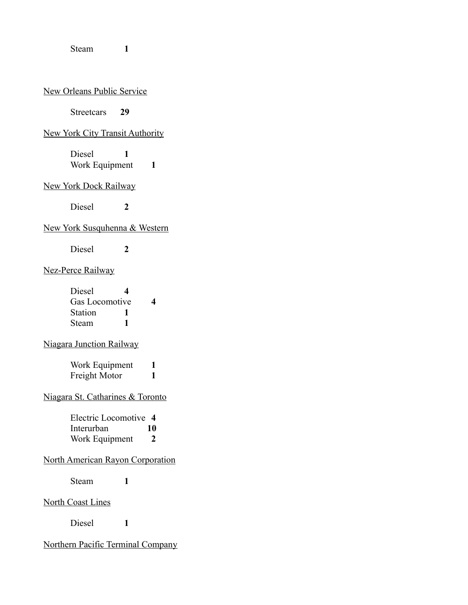Steam **1**

#### New Orleans Public Service

Streetcars **29**

# New York City Transit Authority

Diesel **1** Work Equipment 1

#### New York Dock Railway

Diesel **2**

### New York Susquhenna & Western

Diesel **2**

#### Nez-Perce Railway

| Diesel         | 4 |   |
|----------------|---|---|
| Gas Locomotive |   | 4 |
| Station        |   |   |
| Steam          |   |   |

#### Niagara Junction Railway

Work Equipment **1** Freight Motor 1

# Niagara St. Catharines & Toronto

Electric Locomotive **4** Interurban **10** Work Equipment **2**

# North American Rayon Corporation

Steam **1**

North Coast Lines

Diesel **1**

### Northern Pacific Terminal Company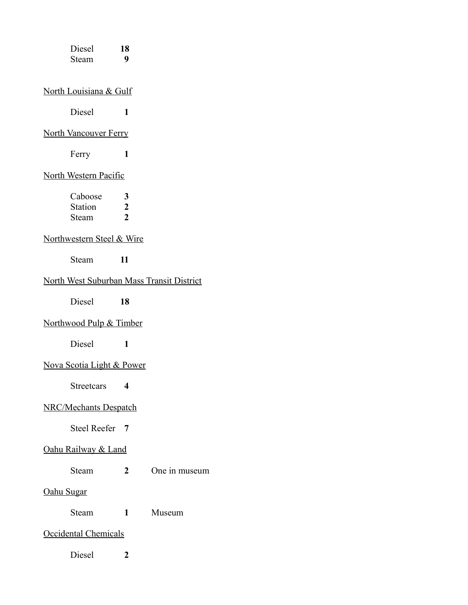| Diesel<br>Steam                           | 18<br>9                                 |               |
|-------------------------------------------|-----------------------------------------|---------------|
| North Louisiana & Gulf                    |                                         |               |
| Diesel                                    | $\mathbf{1}$                            |               |
| <b>North Vancouver Ferry</b>              |                                         |               |
| Ferry                                     | $\mathbf{1}$                            |               |
| North Western Pacific                     |                                         |               |
| Caboose<br><b>Station</b><br>Steam        | 3<br>$\boldsymbol{2}$<br>$\overline{2}$ |               |
| Northwestern Steel & Wire                 |                                         |               |
| Steam                                     | 11                                      |               |
| North West Suburban Mass Transit District |                                         |               |
| Diesel                                    | 18                                      |               |
| Northwood Pulp & Timber                   |                                         |               |
| Diesel                                    | $\mathbf{1}$                            |               |
| Nova Scotia Light & Power                 |                                         |               |
| <b>Streetcars</b>                         | $\overline{\mathbf{4}}$                 |               |
| <b>NRC/Mechants Despatch</b>              |                                         |               |
| <b>Steel Reefer</b>                       | $\overline{7}$                          |               |
| Oahu Railway & Land                       |                                         |               |
| Steam                                     | $\overline{2}$                          | One in museum |
| Oahu Sugar                                |                                         |               |
| Steam                                     | $\blacksquare$                          | Museum        |
| Occidental Chemicals                      |                                         |               |
| Diesel                                    | $\boldsymbol{2}$                        |               |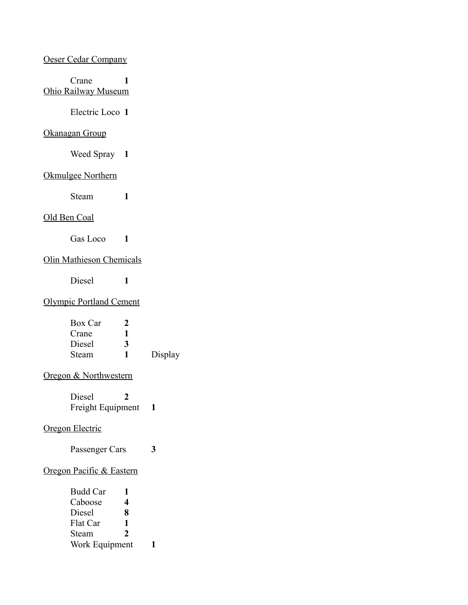#### Oeser Cedar Company

Crane **1** Ohio Railway Museum

Electric Loco **1**

### Okanagan Group

Weed Spray **1**

# Okmulgee Northern

Steam **1**

#### Old Ben Coal

Gas Loco **1**

## Olin Mathieson Chemicals

Diesel **1**

### Olympic Portland Cement

| Box Car | 2 |         |
|---------|---|---------|
| Crane   |   |         |
| Diesel  | 3 |         |
| Steam   |   | Display |

### Oregon & Northwestern

Diesel **2** Freight Equipment **1**

#### Oregon Electric

Passenger Cars **3**

#### Oregon Pacific & Eastern

| <b>Budd Car</b> | 1             |  |
|-----------------|---------------|--|
| Caboose         | 4             |  |
| Diesel          | 8             |  |
| Flat Car        | 1             |  |
| Steam           | $\mathcal{L}$ |  |
| Work Equipment  |               |  |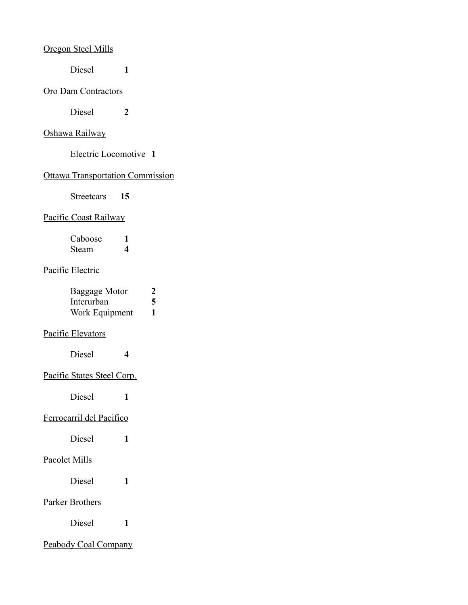### Oregon Steel Mills

Diesel **1**

#### Oro Dam Contractors

Diesel **2**

### Oshawa Railway

Electric Locomotive **1**

#### Ottawa Transportation Commission

Streetcars **15**

# Pacific Coast Railway

| Caboose |   |
|---------|---|
| Steam   | 4 |

# Pacific Electric

| Baggage Motor  | 2 |
|----------------|---|
| Interurban     | 5 |
| Work Equipment | 1 |

### Pacific Elevators

Diesel **4**

### Pacific States Steel Corp.

Diesel **1**

# Ferrocarril del Pacifico

Diesel **1**

#### Pacolet Mills

Diesel **1**

# Parker Brothers

Diesel **1**

# Peabody Coal Company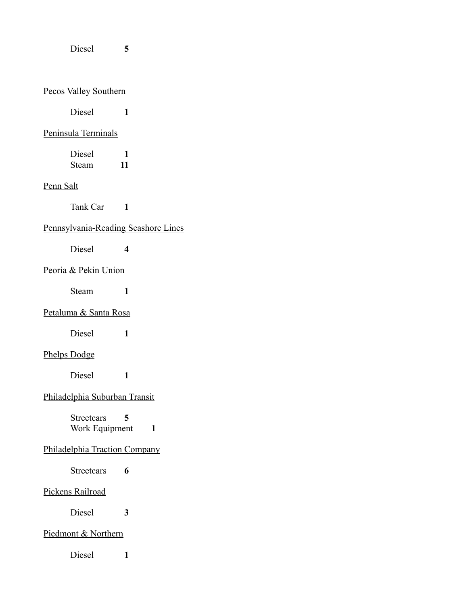Diesel **5**

### Pecos Valley Southern

Diesel **1**

### Peninsula Terminals

| Diesel |    |
|--------|----|
| Steam  | 11 |

# Penn Salt

Tank Car **1**

### Pennsylvania-Reading Seashore Lines

Diesel **4**

### Peoria & Pekin Union

Steam **1**

### Petaluma & Santa Rosa

Diesel **1**

# Phelps Dodge

Diesel **1**

# Philadelphia Suburban Transit

Streetcars **5** Work Equipment 1

### Philadelphia Traction Company

Streetcars **6**

### Pickens Railroad

Diesel **3**

### Piedmont & Northern

Diesel **1**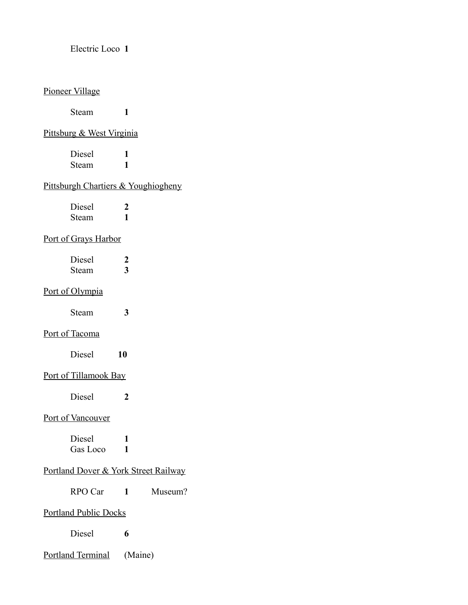Electric Loco **1**

#### Pioneer Village

Steam **1**

### Pittsburg & West Virginia

Diesel **1** Steam **1**

# Pittsburgh Chartiers & Youghiogheny

| Diesel |  |
|--------|--|
| Steam  |  |

### Port of Grays Harbor

| Diesel |  |
|--------|--|
| Steam  |  |

# Port of Olympia

| Steam |  |
|-------|--|
|-------|--|

#### Port of Tacoma

| Diesel | 10 |
|--------|----|
|        |    |

### Port of Tillamook Bay

Diesel **2**

#### Port of Vancouver

| Diesel   |  |
|----------|--|
| Gas Loco |  |

### Portland Dover & York Street Railway

RPO Car **1** Museum?

#### Portland Public Docks

Diesel **6**

Portland Terminal (Maine)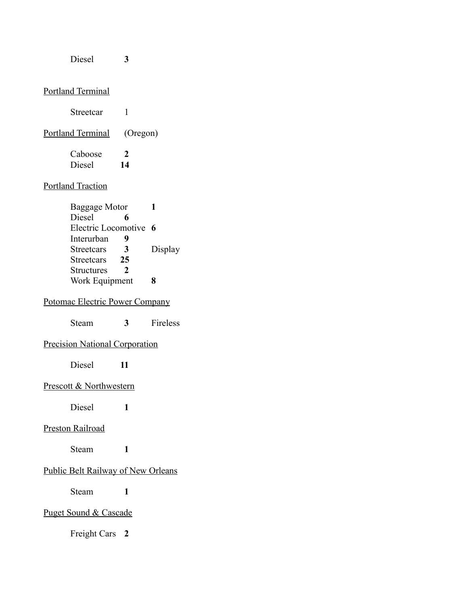#### Diesel **3**

### Portland Terminal

| Streetcar         |               |
|-------------------|---------------|
| Portland Terminal | (Oregon)      |
| Caboose           | $\mathcal{L}$ |
| Diesel            | 14            |

### Portland Traction

| Baggage Motor         |               |         |
|-----------------------|---------------|---------|
| Diesel                | 6             |         |
| Electric Locomotive 6 |               |         |
| Interurban            | q             |         |
| <b>Streetcars</b>     | 3             | Display |
| <b>Streetcars</b>     | 25            |         |
| <b>Structures</b>     | $\mathcal{L}$ |         |
| Work Equipment        |               | R       |

# Potomac Electric Power Company

### Precision National Corporation

Diesel **11**

#### Prescott & Northwestern

Diesel **1**

#### Preston Railroad

Steam **1**

### Public Belt Railway of New Orleans

Steam **1**

### Puget Sound & Cascade

Freight Cars **2**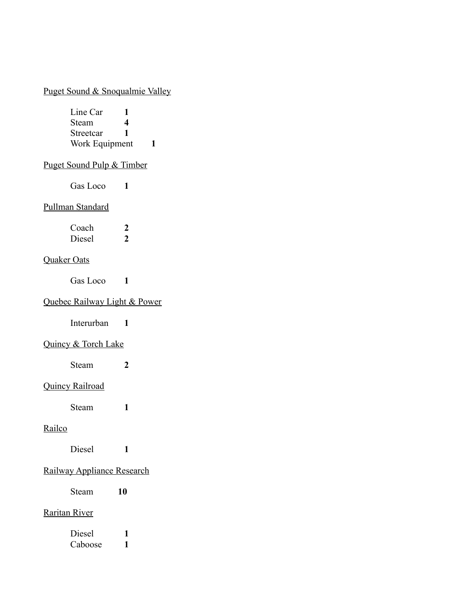# Puget Sound & Snoqualmie Valley

| Line Car       |   |  |
|----------------|---|--|
| Steam          | 4 |  |
| Streetcar      |   |  |
| Work Equipment |   |  |
|                |   |  |

# Puget Sound Pulp & Timber

Gas Loco **1**

### Pullman Standard

| Coach  | 2 |
|--------|---|
| Diesel | 2 |

# Quaker Oats

Gas Loco **1**

# Quebec Railway Light & Power

Interurban **1**

### Quincy & Torch Lake

Steam **2**

# Quincy Railroad

Steam **1**

# **Railco**

Diesel **1**

### Railway Appliance Research

Steam **10**

### Raritan River

| Diesel  |  |
|---------|--|
| Caboose |  |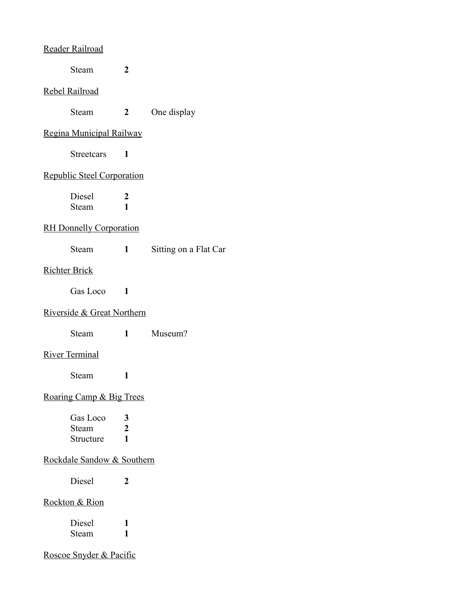#### Reader Railroad

Steam **2**

#### Rebel Railroad

| Steam | One display |
|-------|-------------|
|       |             |

### Regina Municipal Railway

Streetcars **1**

#### Republic Steel Corporation

Diesel 2<br>Steam 1 Steam **1**

# RH Donnelly Corporation

| Steam |  | Sitting on a Flat Car |  |
|-------|--|-----------------------|--|
|-------|--|-----------------------|--|

### Richter Brick

Gas Loco **1**

### Riverside & Great Northern

Steam **1** Museum?

## River Terminal

Steam **1**

# Roaring Camp & Big Trees

| Gas Loco  | 3 |
|-----------|---|
| Steam     | 2 |
| Structure | ı |

# Rockdale Sandow & Southern

Diesel **2**

### Rockton & Rion

| Diesel |  |
|--------|--|
| Steam  |  |

Roscoe Snyder & Pacific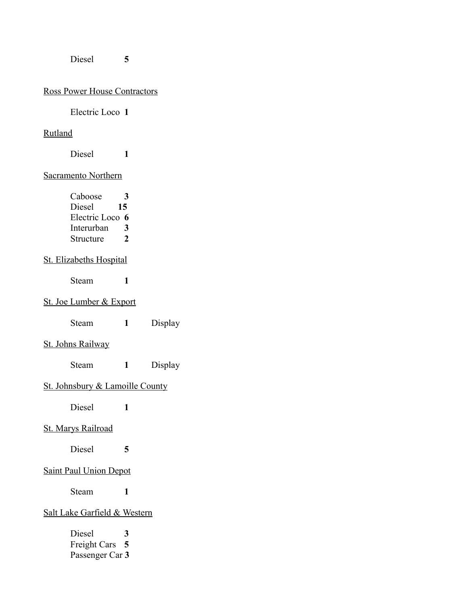Diesel **5**

# Ross Power House Contractors

# Electric Loco **1**

### Rutland

Diesel **1**

### Sacramento Northern

| З               |
|-----------------|
| 15              |
| Electric Loco 6 |
| 3               |
| $\mathcal{L}$   |
|                 |

### St. Elizabeths Hospital

Steam **1**

# St. Joe Lumber & Export

| Steam |  | Display |
|-------|--|---------|
|-------|--|---------|

### St. Johns Railway

Steam **1** Display

# St. Johnsbury & Lamoille County

Diesel **1**

#### St. Marys Railroad

Diesel **5**

# Saint Paul Union Depot

Steam **1**

# Salt Lake Garfield & Western

| Diesel          | 3 |
|-----------------|---|
| Freight Cars 5  |   |
| Passenger Car 3 |   |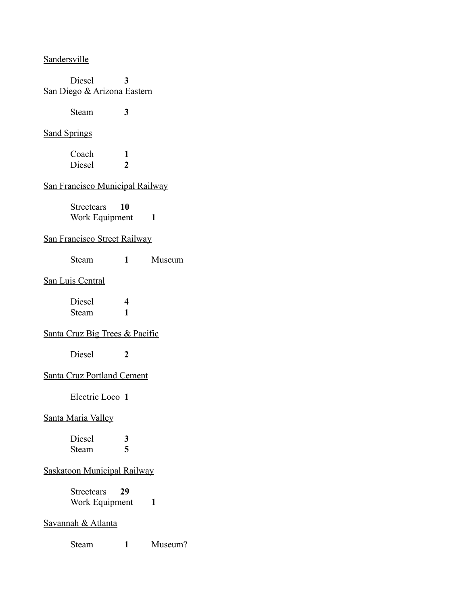**Sandersville** 

Diesel **3** San Diego & Arizona Eastern

Steam **3**

#### Sand Springs

Coach **1** Diesel **2**

# San Francisco Municipal Railway

Streetcars **10** Work Equipment 1

### San Francisco Street Railway

Steam **1** Museum

#### San Luis Central

Diesel **4** Steam **1**

# Santa Cruz Big Trees & Pacific

Diesel **2**

#### Santa Cruz Portland Cement

Electric Loco **1**

### Santa Maria Valley

Diesel **3** Steam **5**

### Saskatoon Municipal Railway

Streetcars **29** Work Equipment 1

#### Savannah & Atlanta

Steam **1** Museum?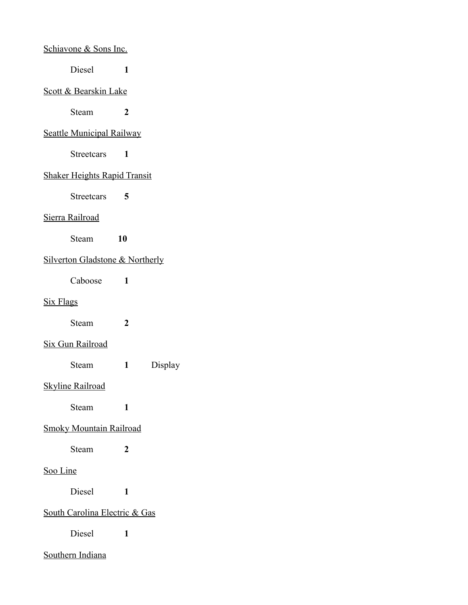| Schiavone & Sons Inc.                      |                |         |
|--------------------------------------------|----------------|---------|
| Diesel                                     | 1              |         |
| <u>Scott &amp; Bearskin Lake</u>           |                |         |
| Steam                                      | 2              |         |
| <b>Seattle Municipal Railway</b>           |                |         |
| <b>Streetcars</b>                          | 1              |         |
| <b>Shaker Heights Rapid Transit</b>        |                |         |
| Streetcars                                 | 5              |         |
| Sierra Railroad                            |                |         |
| Steam                                      | 10             |         |
| <b>Silverton Gladstone &amp; Northerly</b> |                |         |
| Caboose                                    | 1              |         |
| <b>Six Flags</b>                           |                |         |
| Steam                                      | $\overline{2}$ |         |
| <b>Six Gun Railroad</b>                    |                |         |
| Steam                                      | $\mathbf{1}$   | Display |
| <b>Skyline Railroad</b>                    |                |         |
| Steam                                      | 1              |         |
| <b>Smoky Mountain Railroad</b>             |                |         |
| Steam                                      | 2              |         |
| <u>Soo Line</u>                            |                |         |
| Diesel                                     | 1              |         |
| <b>South Carolina Electric &amp; Gas</b>   |                |         |
| Diesel                                     | 1              |         |
| <b>Southern Indiana</b>                    |                |         |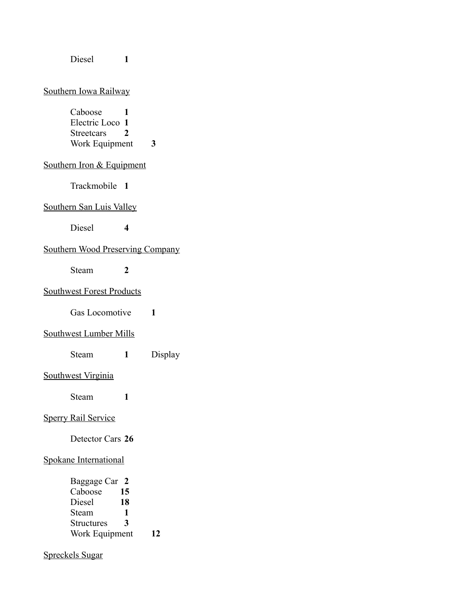| Diesel                                                     | 1                   |         |
|------------------------------------------------------------|---------------------|---------|
| Southern Iowa Railway                                      |                     |         |
| Caboose<br>Electric Loco 1<br>Streetcars<br>Work Equipment | 1<br>2              | 3       |
| Southern Iron & Equipment                                  |                     |         |
| Trackmobile 1                                              |                     |         |
| Southern San Luis Valley                                   |                     |         |
| Diesel                                                     | $\overline{\bf{4}}$ |         |
| <b>Southern Wood Preserving Company</b>                    |                     |         |
| Steam                                                      | $\mathbf{2}$        |         |
| <b>Southwest Forest Products</b>                           |                     |         |
| Gas Locomotive                                             |                     | 1       |
| <b>Southwest Lumber Mills</b>                              |                     |         |
| <b>Steam</b>                                               | 1                   | Display |
| Southwest Virginia                                         |                     |         |
| Steam                                                      | 1                   |         |
| <b>Sperry Rail Service</b>                                 |                     |         |
| Detector Cars 26                                           |                     |         |
| Spokane International                                      |                     |         |
| Baggage Car 2<br>Caboose<br>Diagonal                       | 15<br>18            |         |

- Diesel **18**<br>Steam **1** Steam 1<br>Structures 3
- Structures **3**
- Work Equipment **12**

# Spreckels Sugar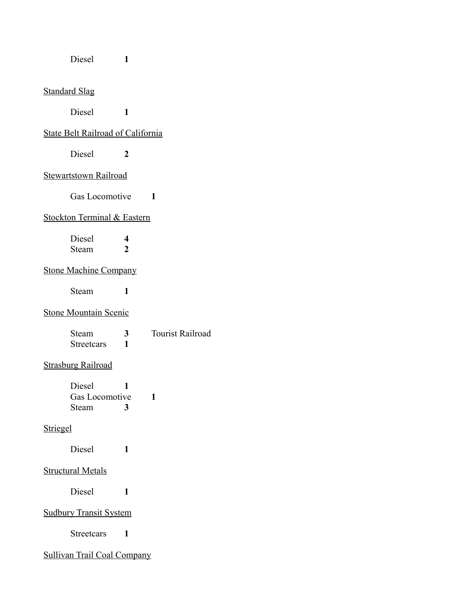| Diesel                                   | 1                              |                         |
|------------------------------------------|--------------------------------|-------------------------|
| <b>Standard Slag</b>                     |                                |                         |
| Diesel                                   | 1                              |                         |
| <b>State Belt Railroad of California</b> |                                |                         |
| Diesel                                   | 2                              |                         |
| <b>Stewartstown Railroad</b>             |                                |                         |
| <b>Gas Locomotive</b>                    |                                | $\blacksquare$          |
| Stockton Terminal & Eastern              |                                |                         |
| Diesel<br>Steam                          | $\overline{\mathbf{4}}$<br>2   |                         |
| <b>Stone Machine Company</b>             |                                |                         |
| Steam                                    | 1                              |                         |
| <b>Stone Mountain Scenic</b>             |                                |                         |
| Steam<br><b>Streetcars</b>               | 3 <sup>7</sup><br>$\mathbf{1}$ | <b>Tourist Railroad</b> |
| <b>Strasburg Railroad</b>                |                                |                         |
| Diesel<br>Gas Locomotive<br>Steam        | 1<br>3                         | 1                       |
| Striegel                                 |                                |                         |
| <b>Diesel</b>                            | $\mathbf{1}$                   |                         |
| <b>Structural Metals</b>                 |                                |                         |
| Diesel                                   | 1                              |                         |
| <b>Sudbury Transit System</b>            |                                |                         |
| Streetcars                               | 1                              |                         |
| <b>Sullivan Trail Coal Company</b>       |                                |                         |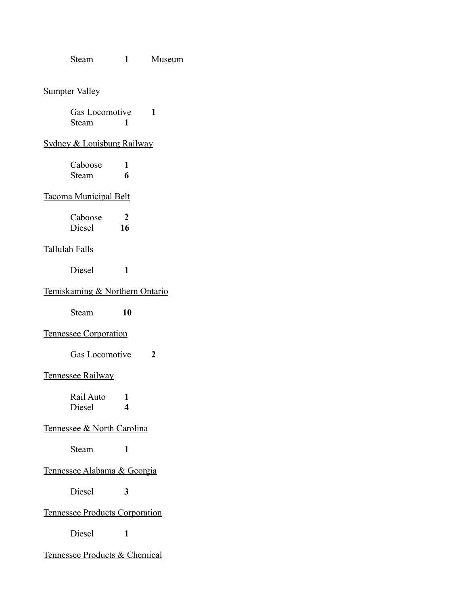Steam **1** Museum

#### Sumpter Valley

Gas Locomotive **1** Steam **1**

# Sydney & Louisburg Railway

| Caboose |   |
|---------|---|
| Steam   | 6 |

#### Tacoma Municipal Belt

| Caboose | 2  |
|---------|----|
| Diesel  | 16 |

### Tallulah Falls

Diesel **1**

# Temiskaming & Northern Ontario

Steam **10**

### Tennessee Corporation

Gas Locomotive **2**

#### Tennessee Railway

Rail Auto **1** Diesel **4**

#### Tennessee & North Carolina

Steam **1**

### Tennessee Alabama & Georgia

Diesel **3**

#### Tennessee Products Corporation

Diesel **1**

#### Tennessee Products & Chemical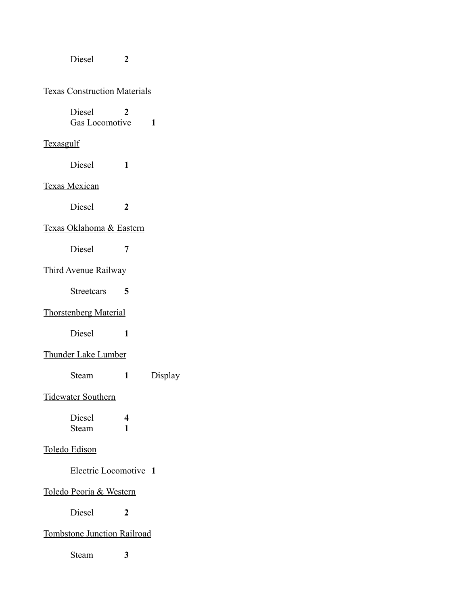Diesel **2**

# Texas Construction Materials

Diesel **2** Gas Locomotive **1**

### **Texasgulf**

Diesel **1**

# Texas Mexican

Diesel **2**

# Texas Oklahoma & Eastern

Diesel **7**

# Third Avenue Railway

Streetcars **5**

# Thorstenberg Material

Diesel **1**

# Thunder Lake Lumber

Steam **1** Display

### Tidewater Southern

| Diesel | 4 |
|--------|---|
| Steam  |   |

### Toledo Edison

Electric Locomotive **1**

### Toledo Peoria & Western

Diesel **2**

### Tombstone Junction Railroad

Steam **3**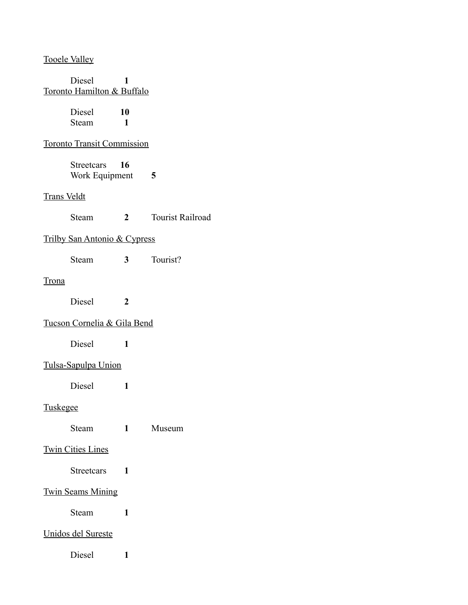Tooele Valley

| Diesel<br>Toronto Hamilton & Buffalo    | 1                    |                         |
|-----------------------------------------|----------------------|-------------------------|
| Diesel<br><b>Steam</b>                  | 10<br>$\blacksquare$ |                         |
| <b>Toronto Transit Commission</b>       |                      |                         |
| Streetcars<br>Work Equipment            | 16                   | 5                       |
| <b>Trans Veldt</b>                      |                      |                         |
| <b>Steam</b>                            | $\overline{2}$       | <b>Tourist Railroad</b> |
| <b>Trilby San Antonio &amp; Cypress</b> |                      |                         |
| Steam                                   | 3 <sup>1</sup>       | Tourist?                |
| <b>Trona</b>                            |                      |                         |
| Diesel                                  | $\boldsymbol{2}$     |                         |
| Tucson Cornelia & Gila Bend             |                      |                         |
| <b>Diesel</b>                           | 1                    |                         |
| Tulsa-Sapulpa Union                     |                      |                         |
| Diesel                                  | 1                    |                         |
| <b>Tuskegee</b>                         |                      |                         |
| Steam                                   | $\mathbf{1}$         | Museum                  |
| <b>Twin Cities Lines</b>                |                      |                         |
| <b>Streetcars</b>                       | 1                    |                         |
| <b>Twin Seams Mining</b>                |                      |                         |
| Steam                                   | 1                    |                         |
| Unidos del Sureste                      |                      |                         |
| Diesel                                  | 1                    |                         |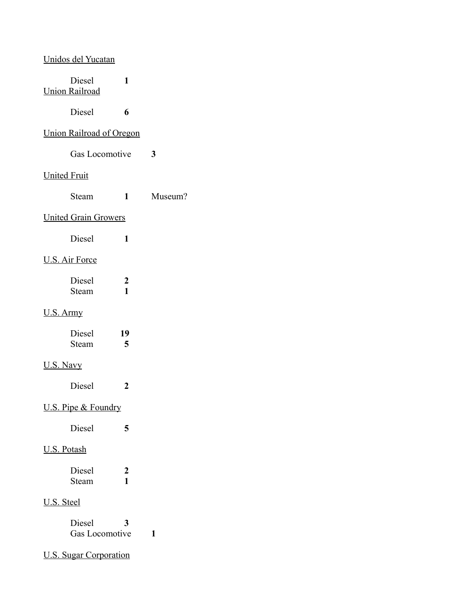|                     | Unidos del Yucatan              |                                  |         |
|---------------------|---------------------------------|----------------------------------|---------|
|                     | Diesel<br><b>Union Railroad</b> | 1                                |         |
|                     | Diesel                          | 6                                |         |
|                     | <b>Union Railroad of Oregon</b> |                                  |         |
|                     | Gas Locomotive                  |                                  | 3       |
| <b>United Fruit</b> |                                 |                                  |         |
|                     | Steam                           | 1                                | Museum? |
|                     | <b>United Grain Growers</b>     |                                  |         |
|                     | Diesel                          | 1                                |         |
|                     | <b>U.S. Air Force</b>           |                                  |         |
|                     | Diesel<br>Steam                 | $\boldsymbol{2}$<br>$\mathbf{1}$ |         |
| <u>U.S. Army</u>    |                                 |                                  |         |
|                     | Diesel<br>Steam                 | 19<br>5                          |         |
| U.S. Navy           |                                 |                                  |         |
|                     | Diesel                          | $\boldsymbol{2}$                 |         |
|                     | U.S. Pipe & Foundry             |                                  |         |
|                     | <b>Diesel</b>                   | 5                                |         |
| <b>U.S. Potash</b>  |                                 |                                  |         |
|                     | Diesel<br>Steam                 | $\boldsymbol{2}$<br>1            |         |
| U.S. Steel          |                                 |                                  |         |
|                     | Diesel<br>Gas Locomotive        | 3                                | 1       |
|                     | <b>U.S. Sugar Corporation</b>   |                                  |         |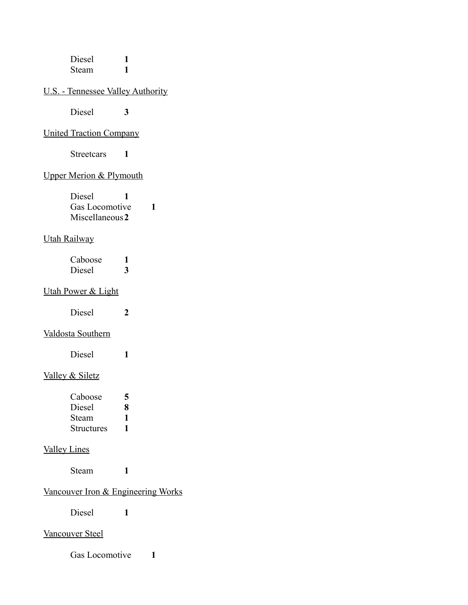| Diesel |  |
|--------|--|
| Steam  |  |

# U.S. - Tennessee Valley Authority

Diesel **3**

### United Traction Company

Streetcars **1**

# Upper Merion & Plymouth

| Diesel          |  |
|-----------------|--|
| Gas Locomotive  |  |
| Miscellaneous 2 |  |

#### Utah Railway

| Caboose |   |
|---------|---|
| Diesel  | 3 |

# Utah Power & Light

| Diesel |  |
|--------|--|
|        |  |

# Valdosta Southern

| Diesel |  |
|--------|--|
|        |  |

# Valley & Siletz

| Caboose    | 5 |
|------------|---|
| Diesel     | 8 |
| Steam      | 1 |
| Structures | 1 |

# Valley Lines

Steam **1**

# Vancouver Iron & Engineering Works

Diesel **1**

#### Vancouver Steel

Gas Locomotive **1**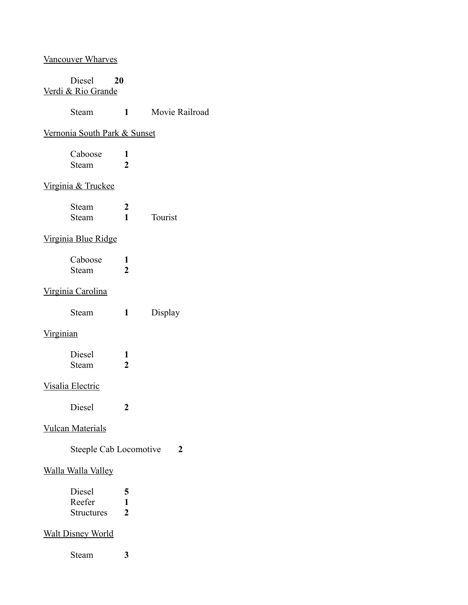# Vancouver Wharves

### Diesel **20** Verdi & Rio Grande

| Steam | Movie Railroad |
|-------|----------------|
|       |                |

# Vernonia South Park & Sunset

|                                    | Caboose<br>Steam        | 1<br>$\overline{2}$            |         |
|------------------------------------|-------------------------|--------------------------------|---------|
|                                    | Virginia & Truckee      |                                |         |
|                                    | Steam<br>Steam          | $\overline{2}$<br>$\mathbf{1}$ | Tourist |
|                                    | Virginia Blue Ridge     |                                |         |
|                                    | Caboose<br>Steam        | 1<br>$\overline{2}$            |         |
|                                    | Virginia Carolina       |                                |         |
|                                    | Steam                   | 1                              | Display |
| <u>Virginian</u>                   |                         |                                |         |
|                                    | Diesel<br>Steam         | 1<br>$\overline{2}$            |         |
|                                    | Visalia Electric        |                                |         |
|                                    | Diesel                  | 2                              |         |
|                                    | <b>Vulcan Materials</b> |                                |         |
| <b>Steeple Cab Locomotive</b><br>2 |                         |                                |         |

### Walla Walla Valley

| Diesel            | 5 |
|-------------------|---|
| Reefer            |   |
| <b>Structures</b> | 2 |

### Walt Disney World

Steam **3**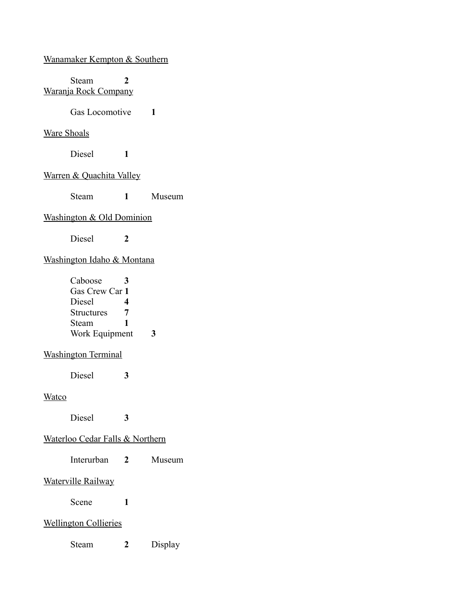Wanamaker Kempton & Southern

Steam **2** Waranja Rock Company

Gas Locomotive **1**

### Ware Shoals

Diesel **1**

# Warren & Quachita Valley

Steam **1** Museum

### Washington & Old Dominion

Diesel **2**

### Washington Idaho & Montana

| Caboose           |   |  |
|-------------------|---|--|
| Gas Crew Car 1    |   |  |
| Diesel            | Λ |  |
| <b>Structures</b> | 7 |  |
| Steam             | ı |  |
| Work Equipment    |   |  |

## Washington Terminal

Diesel **3**

#### **Watco**

Diesel **3**

# Waterloo Cedar Falls & Northern

| Interurban<br>Museum |
|----------------------|
|----------------------|

#### Waterville Railway

Scene **1**

### Wellington Collieries

Steam **2** Display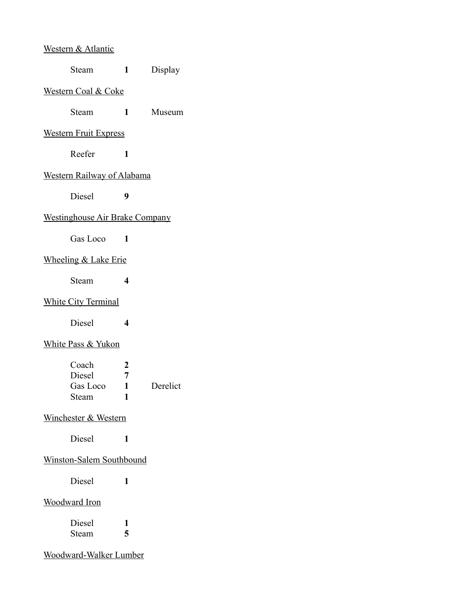### Western & Atlantic

#### Western Coal & Coke

Steam **1** Museum

#### Western Fruit Express

Reefer **1**

### Western Railway of Alabama

Diesel **9**

### Westinghouse Air Brake Company

Gas Loco **1**

#### Wheeling & Lake Erie

Steam **4**

### White City Terminal

Diesel **4**

## White Pass & Yukon

| Coach    | $\mathcal{L}$ |          |
|----------|---------------|----------|
| Diesel   | 7             |          |
| Gas Loco |               | Derelict |
| Steam    |               |          |

#### Winchester & Western

Diesel **1**

# Winston-Salem Southbound

Diesel **1**

#### Woodward Iron

| Diesel |   |
|--------|---|
| Steam  | 5 |

Woodward-Walker Lumber